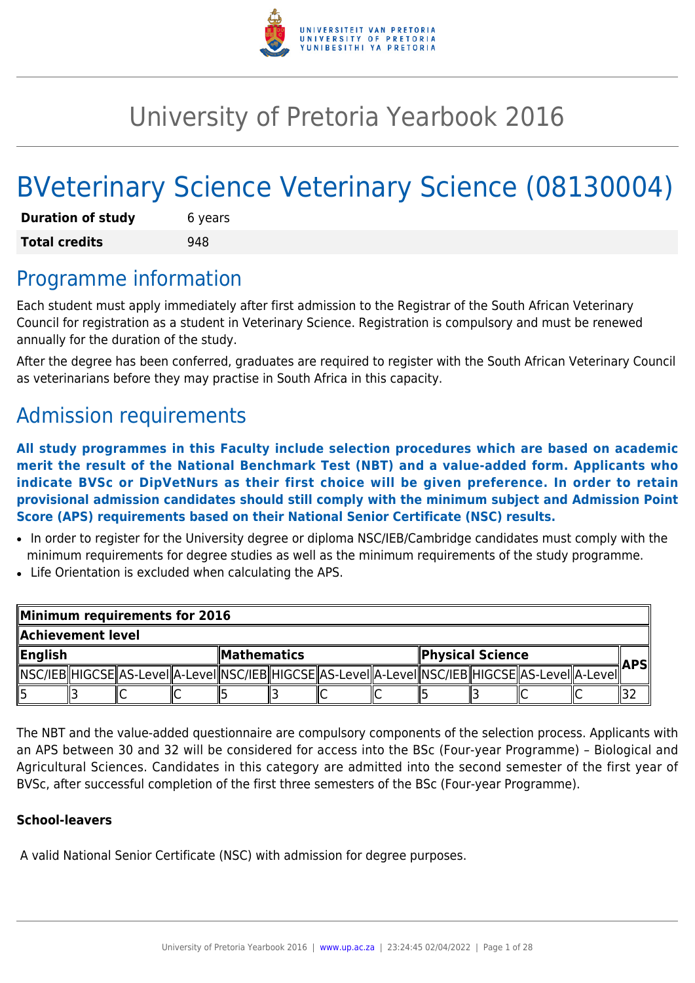

# University of Pretoria Yearbook 2016

# BVeterinary Science Veterinary Science (08130004)

| <b>Duration of study</b> | 6 years |
|--------------------------|---------|
| <b>Total credits</b>     | 948     |

## Programme information

Each student must apply immediately after first admission to the Registrar of the South African Veterinary Council for registration as a student in Veterinary Science. Registration is compulsory and must be renewed annually for the duration of the study.

After the degree has been conferred, graduates are required to register with the South African Veterinary Council as veterinarians before they may practise in South Africa in this capacity.

## Admission requirements

**All study programmes in this Faculty include selection procedures which are based on academic merit the result of the National Benchmark Test (NBT) and a value-added form. Applicants who indicate BVSc or DipVetNurs as their first choice will be given preference. In order to retain provisional admission candidates should still comply with the minimum subject and Admission Point Score (APS) requirements based on their National Senior Certificate (NSC) results.**

- In order to register for the University degree or diploma NSC/IEB/Cambridge candidates must comply with the minimum requirements for degree studies as well as the minimum requirements of the study programme.
- Life Orientation is excluded when calculating the APS.

| Minimum requirements for 2016 |  |  |                    |  |  |                                                                                                              |  |  |            |  |  |  |
|-------------------------------|--|--|--------------------|--|--|--------------------------------------------------------------------------------------------------------------|--|--|------------|--|--|--|
| Achievement level             |  |  |                    |  |  |                                                                                                              |  |  |            |  |  |  |
| $\ $ English                  |  |  | <b>Mathematics</b> |  |  | <b>Physical Science</b>                                                                                      |  |  | <b>APS</b> |  |  |  |
|                               |  |  |                    |  |  | [ NSC/IEB  HIGCSE  AS-Level  A-Level  NSC/IEB  HIGCSE  AS-Level  A-Level  NSC/IEB  HIGCSE  AS-Level  A-Level |  |  |            |  |  |  |
|                               |  |  |                    |  |  |                                                                                                              |  |  |            |  |  |  |

The NBT and the value-added questionnaire are compulsory components of the selection process. Applicants with an APS between 30 and 32 will be considered for access into the BSc (Four-year Programme) – Biological and Agricultural Sciences. Candidates in this category are admitted into the second semester of the first year of BVSc, after successful completion of the first three semesters of the BSc (Four-year Programme).

#### **School-leavers**

A valid National Senior Certificate (NSC) with admission for degree purposes.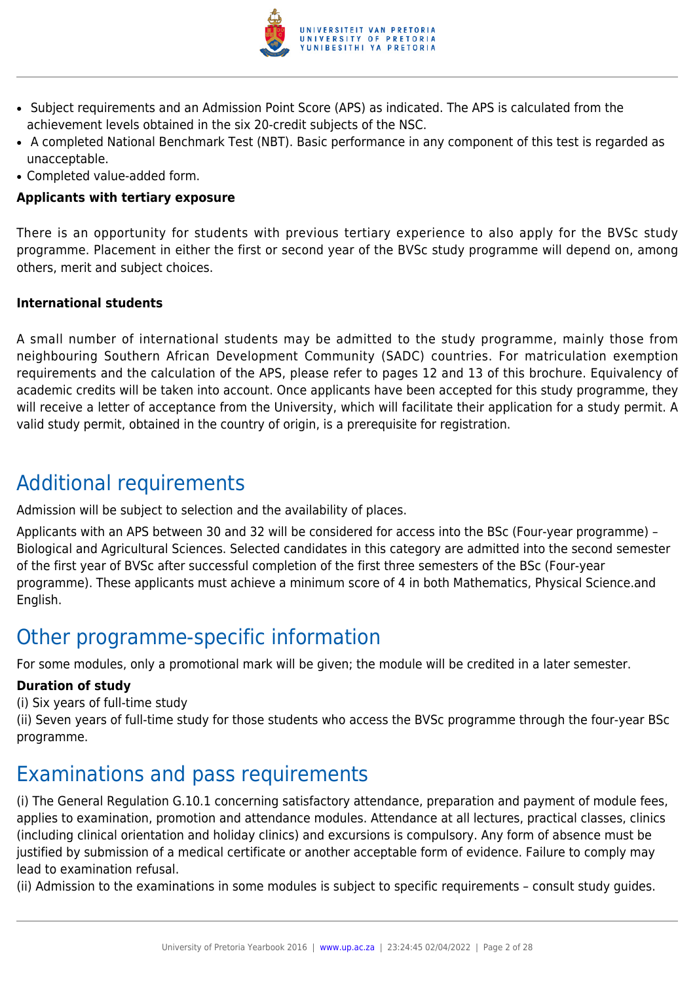

- Subject requirements and an Admission Point Score (APS) as indicated. The APS is calculated from the achievement levels obtained in the six 20-credit subjects of the NSC.
- A completed National Benchmark Test (NBT). Basic performance in any component of this test is regarded as unacceptable.
- Completed value-added form.

#### **Applicants with tertiary exposure**

There is an opportunity for students with previous tertiary experience to also apply for the BVSc study programme. Placement in either the first or second year of the BVSc study programme will depend on, among others, merit and subject choices.

#### **International students**

A small number of international students may be admitted to the study programme, mainly those from neighbouring Southern African Development Community (SADC) countries. For matriculation exemption requirements and the calculation of the APS, please refer to pages 12 and 13 of this brochure. Equivalency of academic credits will be taken into account. Once applicants have been accepted for this study programme, they will receive a letter of acceptance from the University, which will facilitate their application for a study permit. A valid study permit, obtained in the country of origin, is a prerequisite for registration.

## Additional requirements

Admission will be subject to selection and the availability of places.

Applicants with an APS between 30 and 32 will be considered for access into the BSc (Four-year programme) – Biological and Agricultural Sciences. Selected candidates in this category are admitted into the second semester of the first year of BVSc after successful completion of the first three semesters of the BSc (Four-year programme). These applicants must achieve a minimum score of 4 in both Mathematics, Physical Science.and English.

## Other programme-specific information

For some modules, only a promotional mark will be given; the module will be credited in a later semester.

#### **Duration of study**

(i) Six years of full-time study

(ii) Seven years of full-time study for those students who access the BVSc programme through the four-year BSc programme.

## Examinations and pass requirements

(i) The General Regulation G.10.1 concerning satisfactory attendance, preparation and payment of module fees, applies to examination, promotion and attendance modules. Attendance at all lectures, practical classes, clinics (including clinical orientation and holiday clinics) and excursions is compulsory. Any form of absence must be justified by submission of a medical certificate or another acceptable form of evidence. Failure to comply may lead to examination refusal.

(ii) Admission to the examinations in some modules is subject to specific requirements – consult study guides.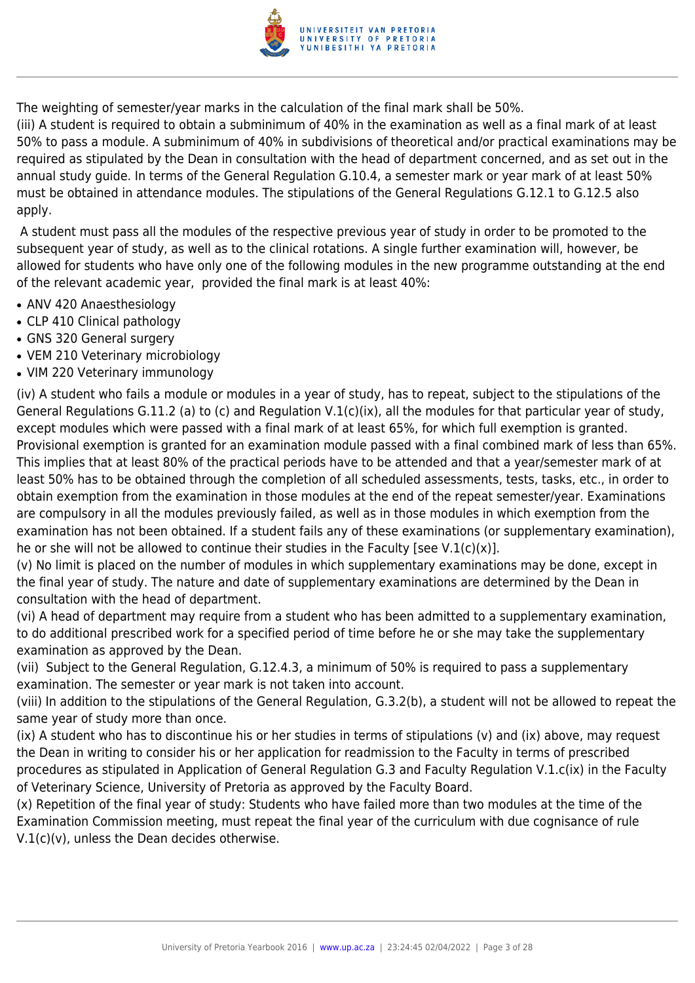

The weighting of semester/year marks in the calculation of the final mark shall be 50%.

(iii) A student is required to obtain a subminimum of 40% in the examination as well as a final mark of at least 50% to pass a module. A subminimum of 40% in subdivisions of theoretical and/or practical examinations may be required as stipulated by the Dean in consultation with the head of department concerned, and as set out in the annual study guide. In terms of the General Regulation G.10.4, a semester mark or year mark of at least 50% must be obtained in attendance modules. The stipulations of the General Regulations G.12.1 to G.12.5 also apply.

 A student must pass all the modules of the respective previous year of study in order to be promoted to the subsequent year of study, as well as to the clinical rotations. A single further examination will, however, be allowed for students who have only one of the following modules in the new programme outstanding at the end of the relevant academic year, provided the final mark is at least 40%:

- ANV 420 Anaesthesiology
- CLP 410 Clinical pathology
- GNS 320 General surgery
- VEM 210 Veterinary microbiology
- VIM 220 Veterinary immunology

(iv) A student who fails a module or modules in a year of study, has to repeat, subject to the stipulations of the General Regulations G.11.2 (a) to (c) and Regulation V.1(c)(ix), all the modules for that particular year of study, except modules which were passed with a final mark of at least 65%, for which full exemption is granted. Provisional exemption is granted for an examination module passed with a final combined mark of less than 65%. This implies that at least 80% of the practical periods have to be attended and that a year/semester mark of at least 50% has to be obtained through the completion of all scheduled assessments, tests, tasks, etc., in order to obtain exemption from the examination in those modules at the end of the repeat semester/year. Examinations are compulsory in all the modules previously failed, as well as in those modules in which exemption from the examination has not been obtained. If a student fails any of these examinations (or supplementary examination), he or she will not be allowed to continue their studies in the Faculty [see V.1(c)(x)].

(v) No limit is placed on the number of modules in which supplementary examinations may be done, except in the final year of study. The nature and date of supplementary examinations are determined by the Dean in consultation with the head of department.

(vi) A head of department may require from a student who has been admitted to a supplementary examination, to do additional prescribed work for a specified period of time before he or she may take the supplementary examination as approved by the Dean.

(vii) Subject to the General Regulation, G.12.4.3, a minimum of 50% is required to pass a supplementary examination. The semester or year mark is not taken into account.

(viii) In addition to the stipulations of the General Regulation, G.3.2(b), a student will not be allowed to repeat the same year of study more than once.

(ix) A student who has to discontinue his or her studies in terms of stipulations (v) and (ix) above, may request the Dean in writing to consider his or her application for readmission to the Faculty in terms of prescribed procedures as stipulated in Application of General Regulation G.3 and Faculty Regulation V.1.c(ix) in the Faculty of Veterinary Science, University of Pretoria as approved by the Faculty Board.

(x) Repetition of the final year of study: Students who have failed more than two modules at the time of the Examination Commission meeting, must repeat the final year of the curriculum with due cognisance of rule V.1(c)(v), unless the Dean decides otherwise.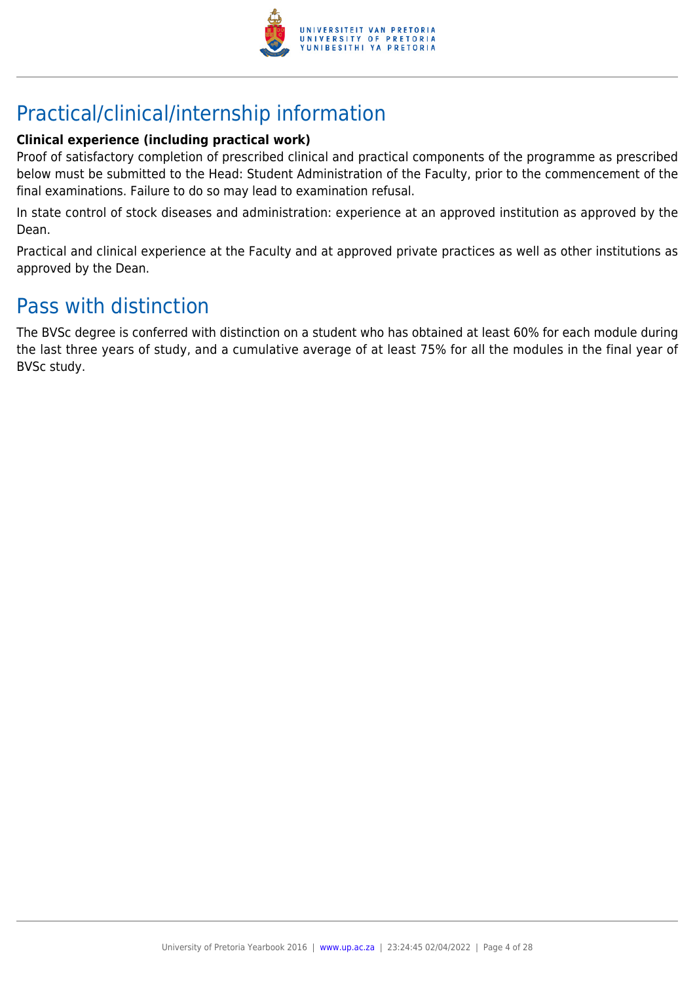

## Practical/clinical/internship information

## **Clinical experience (including practical work)**

Proof of satisfactory completion of prescribed clinical and practical components of the programme as prescribed below must be submitted to the Head: Student Administration of the Faculty, prior to the commencement of the final examinations. Failure to do so may lead to examination refusal.

In state control of stock diseases and administration: experience at an approved institution as approved by the Dean.

Practical and clinical experience at the Faculty and at approved private practices as well as other institutions as approved by the Dean.

## Pass with distinction

The BVSc degree is conferred with distinction on a student who has obtained at least 60% for each module during the last three years of study, and a cumulative average of at least 75% for all the modules in the final year of BVSc study.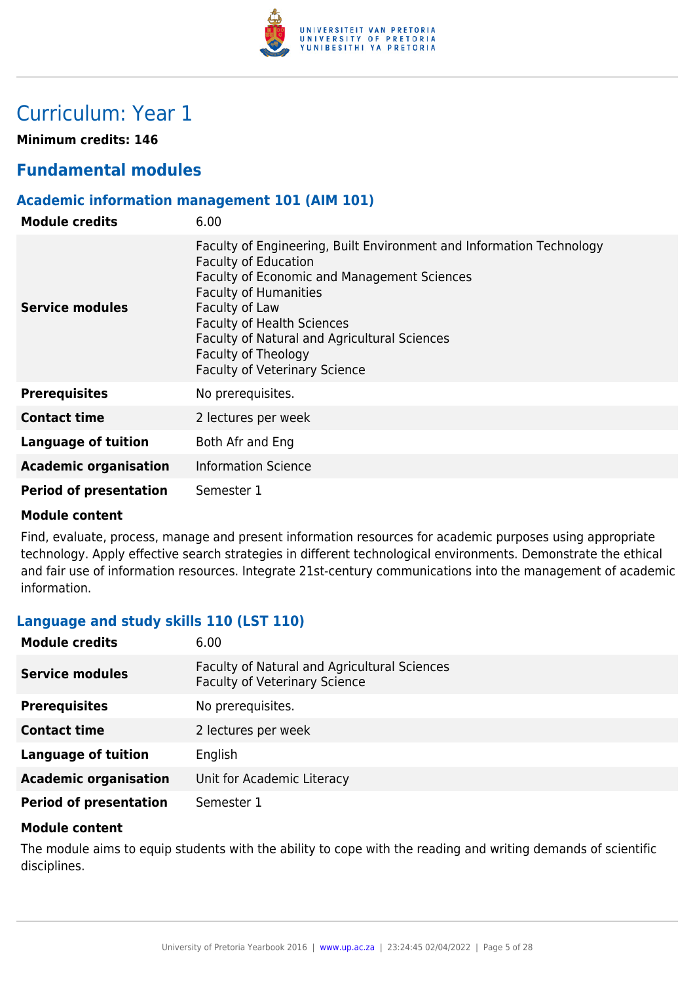

## Curriculum: Year 1

**Minimum credits: 146**

## **Fundamental modules**

## **Academic information management 101 (AIM 101)**

| <b>Module credits</b>         | 6.00                                                                                                                                                                                                                                                                                                                                                     |
|-------------------------------|----------------------------------------------------------------------------------------------------------------------------------------------------------------------------------------------------------------------------------------------------------------------------------------------------------------------------------------------------------|
| Service modules               | Faculty of Engineering, Built Environment and Information Technology<br><b>Faculty of Education</b><br>Faculty of Economic and Management Sciences<br><b>Faculty of Humanities</b><br>Faculty of Law<br><b>Faculty of Health Sciences</b><br>Faculty of Natural and Agricultural Sciences<br>Faculty of Theology<br><b>Faculty of Veterinary Science</b> |
| <b>Prerequisites</b>          | No prerequisites.                                                                                                                                                                                                                                                                                                                                        |
| <b>Contact time</b>           | 2 lectures per week                                                                                                                                                                                                                                                                                                                                      |
| Language of tuition           | Both Afr and Eng                                                                                                                                                                                                                                                                                                                                         |
| <b>Academic organisation</b>  | <b>Information Science</b>                                                                                                                                                                                                                                                                                                                               |
| <b>Period of presentation</b> | Semester 1                                                                                                                                                                                                                                                                                                                                               |

#### **Module content**

Find, evaluate, process, manage and present information resources for academic purposes using appropriate technology. Apply effective search strategies in different technological environments. Demonstrate the ethical and fair use of information resources. Integrate 21st-century communications into the management of academic information.

## **Language and study skills 110 (LST 110)**

| <b>Module credits</b>         | 6.00                                                                                 |
|-------------------------------|--------------------------------------------------------------------------------------|
| <b>Service modules</b>        | Faculty of Natural and Agricultural Sciences<br><b>Faculty of Veterinary Science</b> |
| <b>Prerequisites</b>          | No prerequisites.                                                                    |
| <b>Contact time</b>           | 2 lectures per week                                                                  |
| <b>Language of tuition</b>    | English                                                                              |
| <b>Academic organisation</b>  | Unit for Academic Literacy                                                           |
| <b>Period of presentation</b> | Semester 1                                                                           |

#### **Module content**

The module aims to equip students with the ability to cope with the reading and writing demands of scientific disciplines.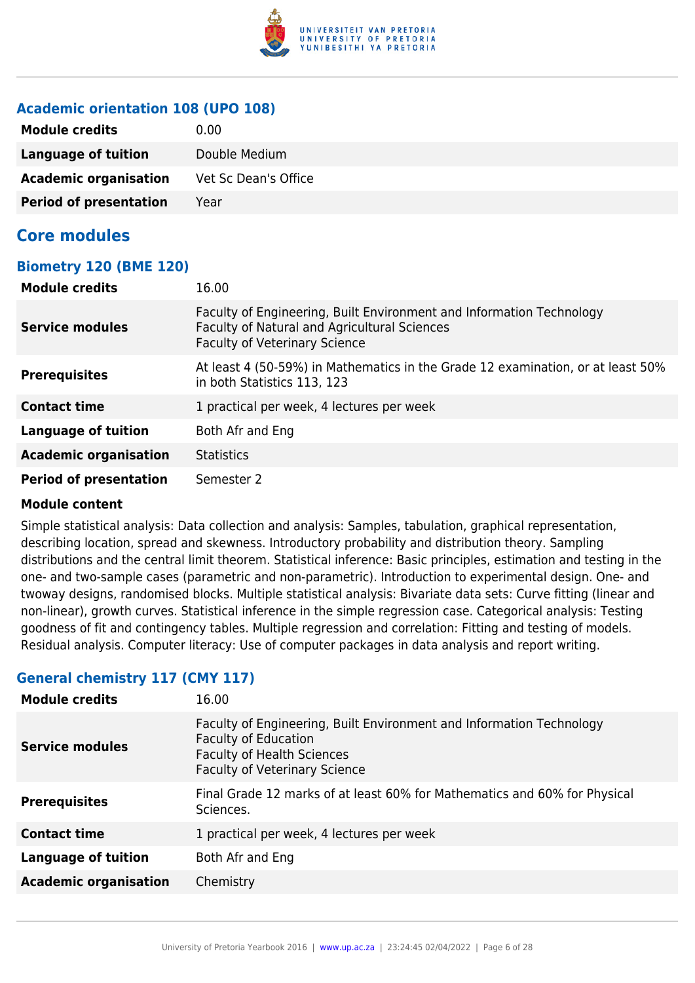

## **Academic orientation 108 (UPO 108)**

| <b>Module credits</b>         | 0.00                 |
|-------------------------------|----------------------|
| Language of tuition           | Double Medium        |
| <b>Academic organisation</b>  | Vet Sc Dean's Office |
| <b>Period of presentation</b> | Year                 |

## **Core modules**

## **Biometry 120 (BME 120)**

| <b>Module credits</b>         | 16.00                                                                                                                                                        |
|-------------------------------|--------------------------------------------------------------------------------------------------------------------------------------------------------------|
| Service modules               | Faculty of Engineering, Built Environment and Information Technology<br>Faculty of Natural and Agricultural Sciences<br><b>Faculty of Veterinary Science</b> |
| <b>Prerequisites</b>          | At least 4 (50-59%) in Mathematics in the Grade 12 examination, or at least 50%<br>in both Statistics 113, 123                                               |
| <b>Contact time</b>           | 1 practical per week, 4 lectures per week                                                                                                                    |
| <b>Language of tuition</b>    | Both Afr and Eng                                                                                                                                             |
| <b>Academic organisation</b>  | <b>Statistics</b>                                                                                                                                            |
| <b>Period of presentation</b> | Semester 2                                                                                                                                                   |

#### **Module content**

Simple statistical analysis: Data collection and analysis: Samples, tabulation, graphical representation, describing location, spread and skewness. Introductory probability and distribution theory. Sampling distributions and the central limit theorem. Statistical inference: Basic principles, estimation and testing in the one- and two-sample cases (parametric and non-parametric). Introduction to experimental design. One- and twoway designs, randomised blocks. Multiple statistical analysis: Bivariate data sets: Curve fitting (linear and non-linear), growth curves. Statistical inference in the simple regression case. Categorical analysis: Testing goodness of fit and contingency tables. Multiple regression and correlation: Fitting and testing of models. Residual analysis. Computer literacy: Use of computer packages in data analysis and report writing.

## **General chemistry 117 (CMY 117)**

| <b>Module credits</b>        | 16.00                                                                                                                                                                            |
|------------------------------|----------------------------------------------------------------------------------------------------------------------------------------------------------------------------------|
| <b>Service modules</b>       | Faculty of Engineering, Built Environment and Information Technology<br><b>Faculty of Education</b><br><b>Faculty of Health Sciences</b><br><b>Faculty of Veterinary Science</b> |
| <b>Prerequisites</b>         | Final Grade 12 marks of at least 60% for Mathematics and 60% for Physical<br>Sciences.                                                                                           |
| <b>Contact time</b>          | 1 practical per week, 4 lectures per week                                                                                                                                        |
| <b>Language of tuition</b>   | Both Afr and Eng                                                                                                                                                                 |
| <b>Academic organisation</b> | Chemistry                                                                                                                                                                        |
|                              |                                                                                                                                                                                  |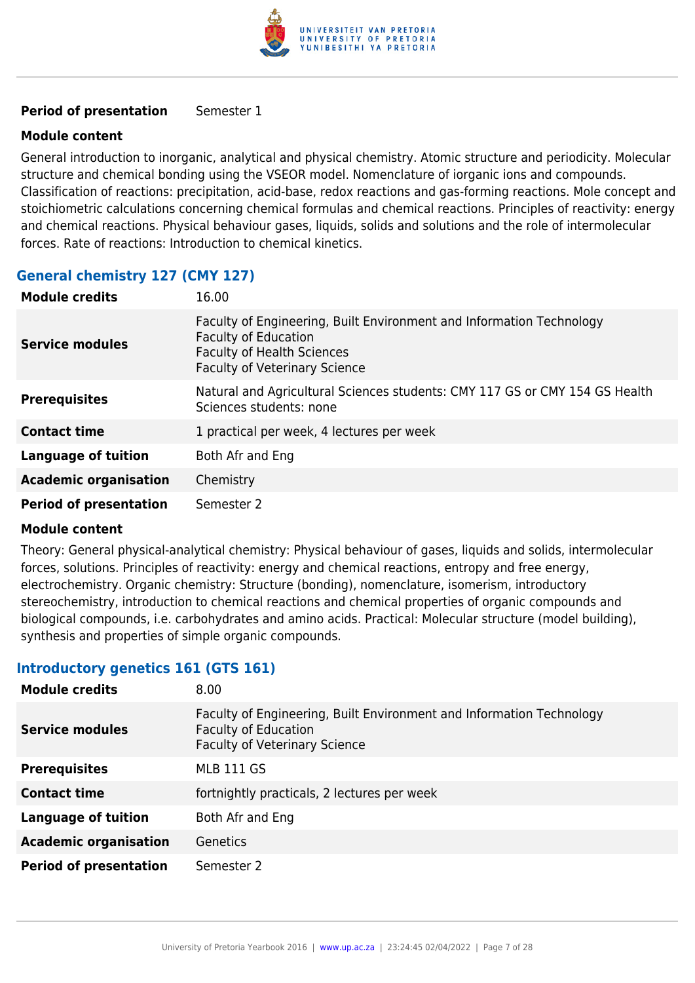

#### **Period of presentation** Semester 1

#### **Module content**

General introduction to inorganic, analytical and physical chemistry. Atomic structure and periodicity. Molecular structure and chemical bonding using the VSEOR model. Nomenclature of iorganic ions and compounds. Classification of reactions: precipitation, acid-base, redox reactions and gas-forming reactions. Mole concept and stoichiometric calculations concerning chemical formulas and chemical reactions. Principles of reactivity: energy and chemical reactions. Physical behaviour gases, liquids, solids and solutions and the role of intermolecular forces. Rate of reactions: Introduction to chemical kinetics.

## **General chemistry 127 (CMY 127)**

| <b>Module credits</b>         | 16.00                                                                                                                                                                            |
|-------------------------------|----------------------------------------------------------------------------------------------------------------------------------------------------------------------------------|
| <b>Service modules</b>        | Faculty of Engineering, Built Environment and Information Technology<br><b>Faculty of Education</b><br><b>Faculty of Health Sciences</b><br><b>Faculty of Veterinary Science</b> |
| <b>Prerequisites</b>          | Natural and Agricultural Sciences students: CMY 117 GS or CMY 154 GS Health<br>Sciences students: none                                                                           |
| <b>Contact time</b>           | 1 practical per week, 4 lectures per week                                                                                                                                        |
| <b>Language of tuition</b>    | Both Afr and Eng                                                                                                                                                                 |
| <b>Academic organisation</b>  | Chemistry                                                                                                                                                                        |
| <b>Period of presentation</b> | Semester 2                                                                                                                                                                       |

#### **Module content**

Theory: General physical-analytical chemistry: Physical behaviour of gases, liquids and solids, intermolecular forces, solutions. Principles of reactivity: energy and chemical reactions, entropy and free energy, electrochemistry. Organic chemistry: Structure (bonding), nomenclature, isomerism, introductory stereochemistry, introduction to chemical reactions and chemical properties of organic compounds and biological compounds, i.e. carbohydrates and amino acids. Practical: Molecular structure (model building), synthesis and properties of simple organic compounds.

#### **Introductory genetics 161 (GTS 161)**

| <b>Module credits</b>         | 8.00                                                                                                                                        |
|-------------------------------|---------------------------------------------------------------------------------------------------------------------------------------------|
| <b>Service modules</b>        | Faculty of Engineering, Built Environment and Information Technology<br><b>Faculty of Education</b><br><b>Faculty of Veterinary Science</b> |
| <b>Prerequisites</b>          | <b>MLB 111 GS</b>                                                                                                                           |
| <b>Contact time</b>           | fortnightly practicals, 2 lectures per week                                                                                                 |
| Language of tuition           | Both Afr and Eng                                                                                                                            |
| <b>Academic organisation</b>  | Genetics                                                                                                                                    |
| <b>Period of presentation</b> | Semester 2                                                                                                                                  |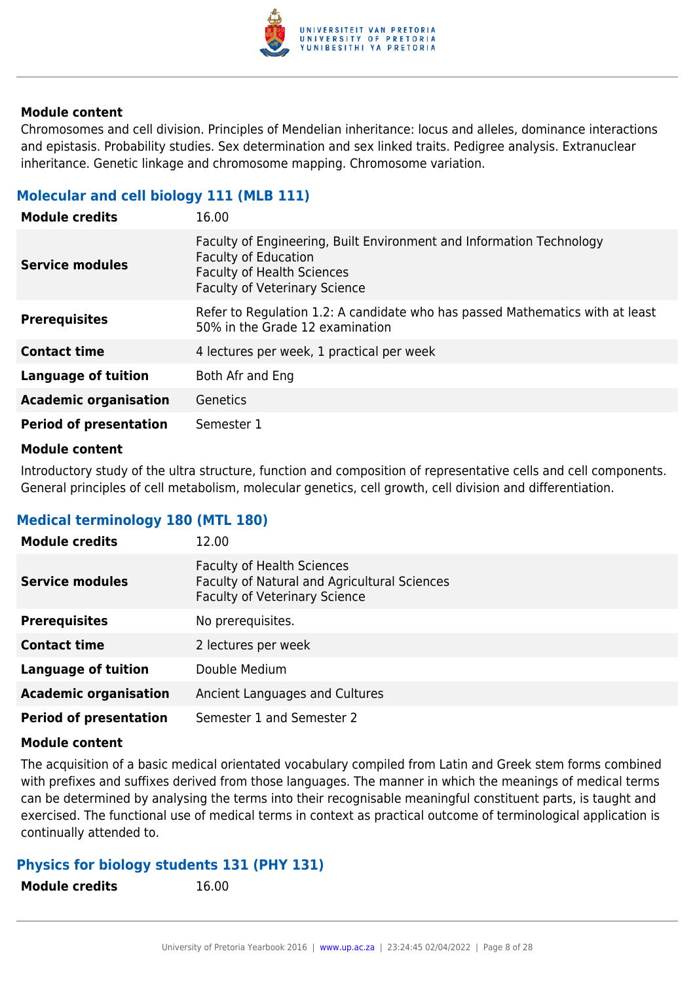

Chromosomes and cell division. Principles of Mendelian inheritance: locus and alleles, dominance interactions and epistasis. Probability studies. Sex determination and sex linked traits. Pedigree analysis. Extranuclear inheritance. Genetic linkage and chromosome mapping. Chromosome variation.

## **Molecular and cell biology 111 (MLB 111)**

| <b>Module credits</b>         | 16.00                                                                                                                                                                            |
|-------------------------------|----------------------------------------------------------------------------------------------------------------------------------------------------------------------------------|
| Service modules               | Faculty of Engineering, Built Environment and Information Technology<br><b>Faculty of Education</b><br><b>Faculty of Health Sciences</b><br><b>Faculty of Veterinary Science</b> |
| <b>Prerequisites</b>          | Refer to Regulation 1.2: A candidate who has passed Mathematics with at least<br>50% in the Grade 12 examination                                                                 |
| <b>Contact time</b>           | 4 lectures per week, 1 practical per week                                                                                                                                        |
| <b>Language of tuition</b>    | Both Afr and Eng                                                                                                                                                                 |
| <b>Academic organisation</b>  | Genetics                                                                                                                                                                         |
| <b>Period of presentation</b> | Semester 1                                                                                                                                                                       |

#### **Module content**

Introductory study of the ultra structure, function and composition of representative cells and cell components. General principles of cell metabolism, molecular genetics, cell growth, cell division and differentiation.

## **Medical terminology 180 (MTL 180)**

| <b>Module credits</b>         | 12.00                                                                                                                     |
|-------------------------------|---------------------------------------------------------------------------------------------------------------------------|
| <b>Service modules</b>        | <b>Faculty of Health Sciences</b><br>Faculty of Natural and Agricultural Sciences<br><b>Faculty of Veterinary Science</b> |
| <b>Prerequisites</b>          | No prerequisites.                                                                                                         |
| <b>Contact time</b>           | 2 lectures per week                                                                                                       |
| <b>Language of tuition</b>    | Double Medium                                                                                                             |
| <b>Academic organisation</b>  | Ancient Languages and Cultures                                                                                            |
| <b>Period of presentation</b> | Semester 1 and Semester 2                                                                                                 |

#### **Module content**

The acquisition of a basic medical orientated vocabulary compiled from Latin and Greek stem forms combined with prefixes and suffixes derived from those languages. The manner in which the meanings of medical terms can be determined by analysing the terms into their recognisable meaningful constituent parts, is taught and exercised. The functional use of medical terms in context as practical outcome of terminological application is continually attended to.

#### **Physics for biology students 131 (PHY 131)**

**Module credits** 16.00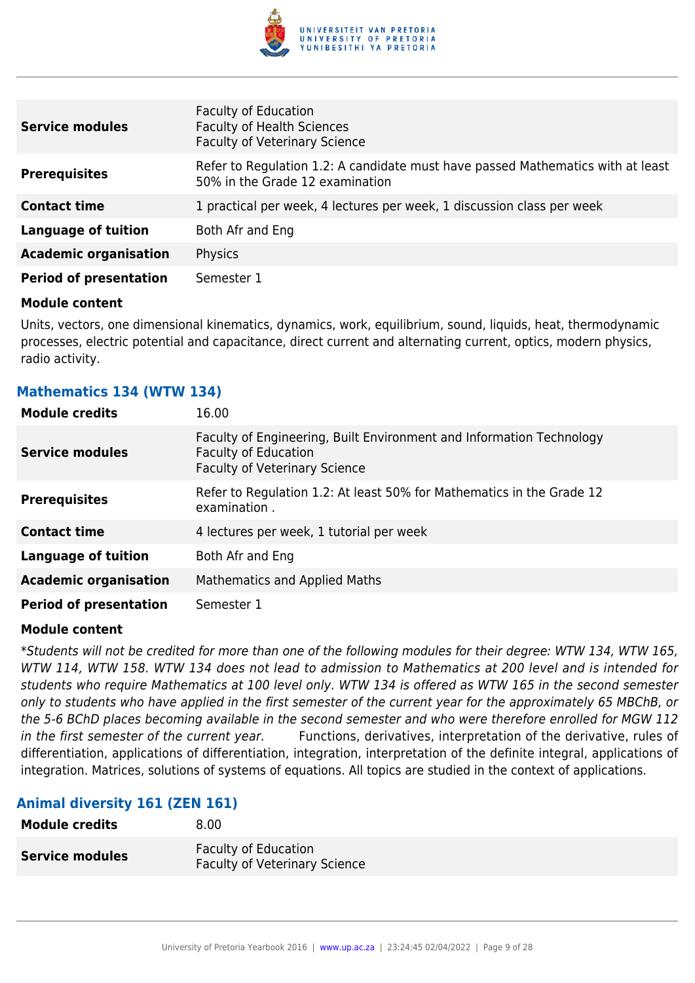

| <b>Service modules</b>        | <b>Faculty of Education</b><br><b>Faculty of Health Sciences</b><br><b>Faculty of Veterinary Science</b>           |
|-------------------------------|--------------------------------------------------------------------------------------------------------------------|
| <b>Prerequisites</b>          | Refer to Regulation 1.2: A candidate must have passed Mathematics with at least<br>50% in the Grade 12 examination |
| <b>Contact time</b>           | 1 practical per week, 4 lectures per week, 1 discussion class per week                                             |
| <b>Language of tuition</b>    | Both Afr and Eng                                                                                                   |
| <b>Academic organisation</b>  | Physics                                                                                                            |
| <b>Period of presentation</b> | Semester 1                                                                                                         |

Units, vectors, one dimensional kinematics, dynamics, work, equilibrium, sound, liquids, heat, thermodynamic processes, electric potential and capacitance, direct current and alternating current, optics, modern physics, radio activity.

#### **Mathematics 134 (WTW 134)**

| <b>Module credits</b>         | 16.00                                                                                                                                       |
|-------------------------------|---------------------------------------------------------------------------------------------------------------------------------------------|
| <b>Service modules</b>        | Faculty of Engineering, Built Environment and Information Technology<br><b>Faculty of Education</b><br><b>Faculty of Veterinary Science</b> |
| <b>Prerequisites</b>          | Refer to Regulation 1.2: At least 50% for Mathematics in the Grade 12<br>examination.                                                       |
| <b>Contact time</b>           | 4 lectures per week, 1 tutorial per week                                                                                                    |
| Language of tuition           | Both Afr and Eng                                                                                                                            |
| <b>Academic organisation</b>  | <b>Mathematics and Applied Maths</b>                                                                                                        |
| <b>Period of presentation</b> | Semester 1                                                                                                                                  |

#### **Module content**

\*Students will not be credited for more than one of the following modules for their degree: WTW 134, WTW 165, WTW 114, WTW 158. WTW 134 does not lead to admission to Mathematics at 200 level and is intended for students who require Mathematics at 100 level only. WTW 134 is offered as WTW 165 in the second semester only to students who have applied in the first semester of the current year for the approximately 65 MBChB, or the 5-6 BChD places becoming available in the second semester and who were therefore enrolled for MGW 112 in the first semester of the current year. Functions, derivatives, interpretation of the derivative, rules of differentiation, applications of differentiation, integration, interpretation of the definite integral, applications of integration. Matrices, solutions of systems of equations. All topics are studied in the context of applications.

#### **Animal diversity 161 (ZEN 161)**

| <b>Module credits</b>  | 8.00                                                         |
|------------------------|--------------------------------------------------------------|
| <b>Service modules</b> | Faculty of Education<br><b>Faculty of Veterinary Science</b> |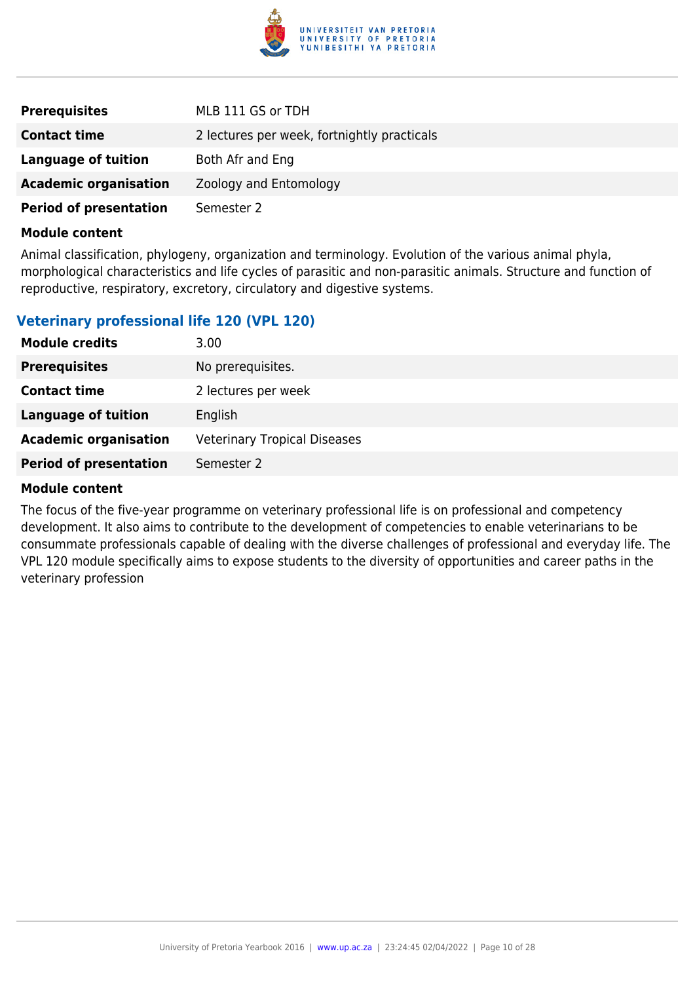

| <b>Prerequisites</b>          | MLB 111 GS or TDH                           |
|-------------------------------|---------------------------------------------|
| <b>Contact time</b>           | 2 lectures per week, fortnightly practicals |
| Language of tuition           | Both Afr and Eng                            |
| <b>Academic organisation</b>  | Zoology and Entomology                      |
| <b>Period of presentation</b> | Semester 2                                  |

Animal classification, phylogeny, organization and terminology. Evolution of the various animal phyla, morphological characteristics and life cycles of parasitic and non-parasitic animals. Structure and function of reproductive, respiratory, excretory, circulatory and digestive systems.

## **Veterinary professional life 120 (VPL 120)**

| <b>Module credits</b>         | 3.00                                |
|-------------------------------|-------------------------------------|
| <b>Prerequisites</b>          | No prerequisites.                   |
| <b>Contact time</b>           | 2 lectures per week                 |
| Language of tuition           | English                             |
| <b>Academic organisation</b>  | <b>Veterinary Tropical Diseases</b> |
| <b>Period of presentation</b> | Semester 2                          |

#### **Module content**

The focus of the five-year programme on veterinary professional life is on professional and competency development. It also aims to contribute to the development of competencies to enable veterinarians to be consummate professionals capable of dealing with the diverse challenges of professional and everyday life. The VPL 120 module specifically aims to expose students to the diversity of opportunities and career paths in the veterinary profession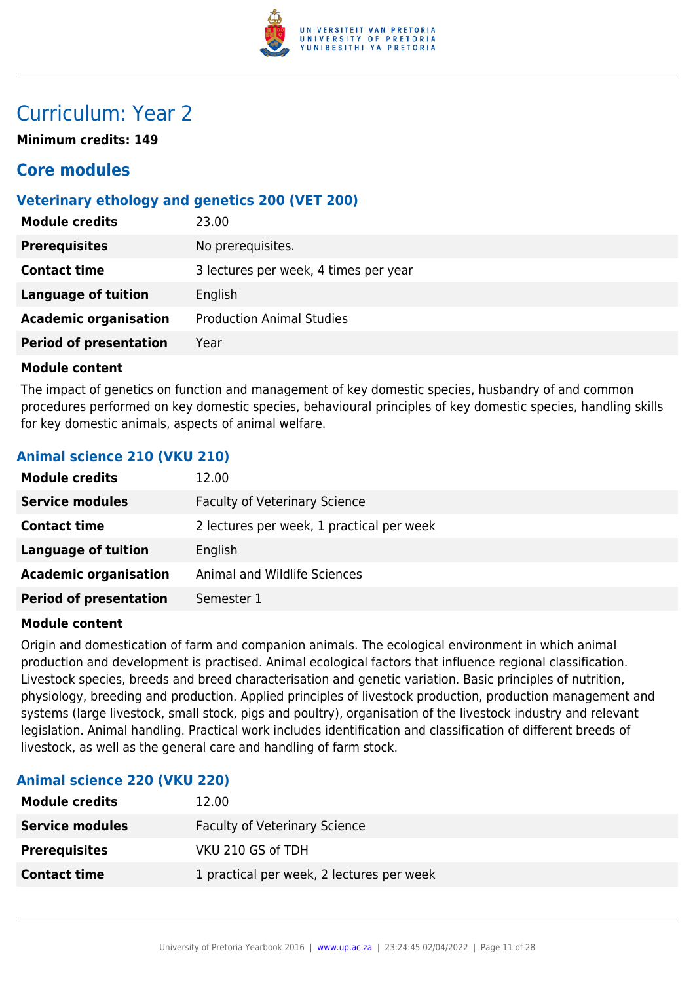

## Curriculum: Year 2

**Minimum credits: 149**

## **Core modules**

## **Veterinary ethology and genetics 200 (VET 200)**

| <b>Module credits</b>         | 23.00                                 |
|-------------------------------|---------------------------------------|
| <b>Prerequisites</b>          | No prerequisites.                     |
| <b>Contact time</b>           | 3 lectures per week, 4 times per year |
| <b>Language of tuition</b>    | English                               |
| <b>Academic organisation</b>  | <b>Production Animal Studies</b>      |
| <b>Period of presentation</b> | Year                                  |
|                               |                                       |

## **Module content**

The impact of genetics on function and management of key domestic species, husbandry of and common procedures performed on key domestic species, behavioural principles of key domestic species, handling skills for key domestic animals, aspects of animal welfare.

## **Animal science 210 (VKU 210)**

| <b>Module credits</b>         | 12.00                                     |
|-------------------------------|-------------------------------------------|
| <b>Service modules</b>        | <b>Faculty of Veterinary Science</b>      |
| <b>Contact time</b>           | 2 lectures per week, 1 practical per week |
| Language of tuition           | English                                   |
| <b>Academic organisation</b>  | Animal and Wildlife Sciences              |
| <b>Period of presentation</b> | Semester 1                                |

#### **Module content**

Origin and domestication of farm and companion animals. The ecological environment in which animal production and development is practised. Animal ecological factors that influence regional classification. Livestock species, breeds and breed characterisation and genetic variation. Basic principles of nutrition, physiology, breeding and production. Applied principles of livestock production, production management and systems (large livestock, small stock, pigs and poultry), organisation of the livestock industry and relevant legislation. Animal handling. Practical work includes identification and classification of different breeds of livestock, as well as the general care and handling of farm stock.

## **Animal science 220 (VKU 220)**

| Module credits         | 12.00                                     |
|------------------------|-------------------------------------------|
| <b>Service modules</b> | <b>Faculty of Veterinary Science</b>      |
| <b>Prerequisites</b>   | VKU 210 GS of TDH                         |
| <b>Contact time</b>    | 1 practical per week, 2 lectures per week |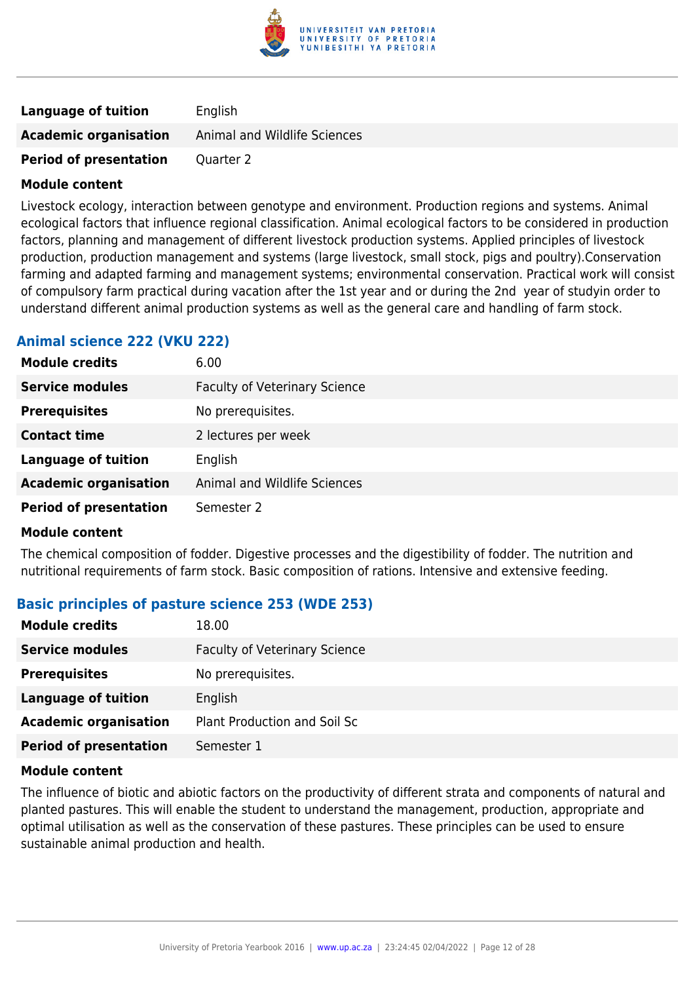

| Language of tuition           | English                      |
|-------------------------------|------------------------------|
| <b>Academic organisation</b>  | Animal and Wildlife Sciences |
| <b>Period of presentation</b> | Quarter 2                    |

Livestock ecology, interaction between genotype and environment. Production regions and systems. Animal ecological factors that influence regional classification. Animal ecological factors to be considered in production factors, planning and management of different livestock production systems. Applied principles of livestock production, production management and systems (large livestock, small stock, pigs and poultry).Conservation farming and adapted farming and management systems; environmental conservation. Practical work will consist of compulsory farm practical during vacation after the 1st year and or during the 2nd year of studyin order to understand different animal production systems as well as the general care and handling of farm stock.

#### **Animal science 222 (VKU 222)**

| <b>Module credits</b>         | 6.00                                 |
|-------------------------------|--------------------------------------|
| <b>Service modules</b>        | <b>Faculty of Veterinary Science</b> |
| <b>Prerequisites</b>          | No prerequisites.                    |
| <b>Contact time</b>           | 2 lectures per week                  |
| <b>Language of tuition</b>    | English                              |
| <b>Academic organisation</b>  | Animal and Wildlife Sciences         |
| <b>Period of presentation</b> | Semester 2                           |

#### **Module content**

The chemical composition of fodder. Digestive processes and the digestibility of fodder. The nutrition and nutritional requirements of farm stock. Basic composition of rations. Intensive and extensive feeding.

#### **Basic principles of pasture science 253 (WDE 253)**

| <b>Module credits</b>         | 18.00                                |
|-------------------------------|--------------------------------------|
| <b>Service modules</b>        | <b>Faculty of Veterinary Science</b> |
| <b>Prerequisites</b>          | No prerequisites.                    |
| Language of tuition           | English                              |
| <b>Academic organisation</b>  | Plant Production and Soil Sc         |
| <b>Period of presentation</b> | Semester 1                           |

#### **Module content**

The influence of biotic and abiotic factors on the productivity of different strata and components of natural and planted pastures. This will enable the student to understand the management, production, appropriate and optimal utilisation as well as the conservation of these pastures. These principles can be used to ensure sustainable animal production and health.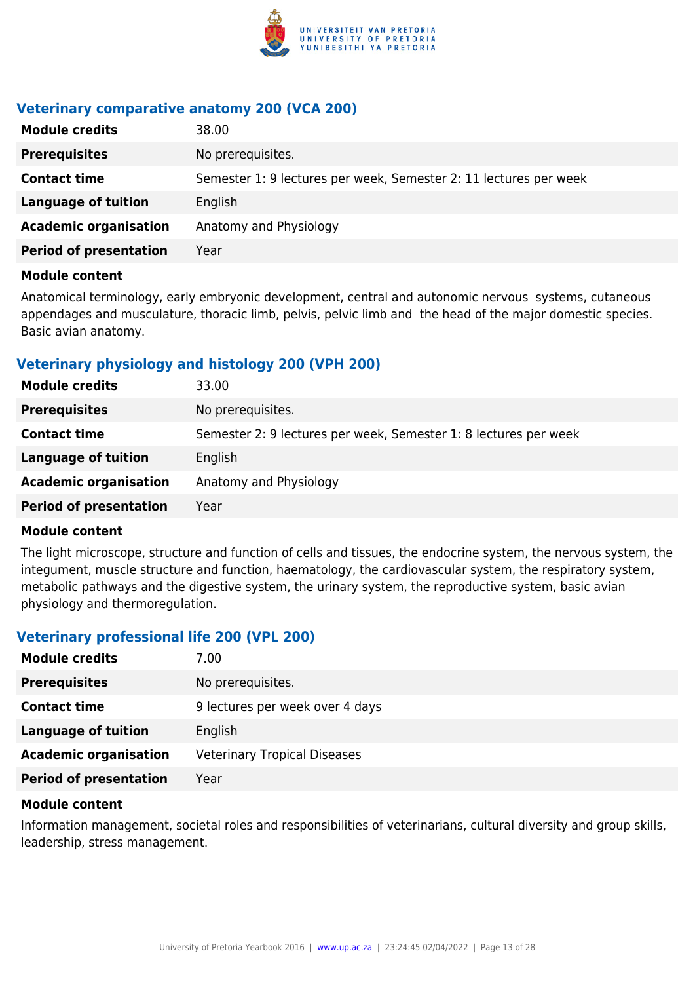

#### **Veterinary comparative anatomy 200 (VCA 200)**

| <b>Module credits</b>         | 38.00                                                             |
|-------------------------------|-------------------------------------------------------------------|
| <b>Prerequisites</b>          | No prerequisites.                                                 |
| <b>Contact time</b>           | Semester 1: 9 lectures per week, Semester 2: 11 lectures per week |
| Language of tuition           | English                                                           |
| <b>Academic organisation</b>  | Anatomy and Physiology                                            |
| <b>Period of presentation</b> | Year                                                              |

#### **Module content**

Anatomical terminology, early embryonic development, central and autonomic nervous systems, cutaneous appendages and musculature, thoracic limb, pelvis, pelvic limb and the head of the major domestic species. Basic avian anatomy.

#### **Veterinary physiology and histology 200 (VPH 200)**

| <b>Module credits</b>         | 33.00                                                            |
|-------------------------------|------------------------------------------------------------------|
| <b>Prerequisites</b>          | No prerequisites.                                                |
| <b>Contact time</b>           | Semester 2: 9 lectures per week, Semester 1: 8 lectures per week |
| <b>Language of tuition</b>    | English                                                          |
| <b>Academic organisation</b>  | Anatomy and Physiology                                           |
| <b>Period of presentation</b> | Year                                                             |

#### **Module content**

The light microscope, structure and function of cells and tissues, the endocrine system, the nervous system, the integument, muscle structure and function, haematology, the cardiovascular system, the respiratory system, metabolic pathways and the digestive system, the urinary system, the reproductive system, basic avian physiology and thermoregulation.

#### **Veterinary professional life 200 (VPL 200)**

| <b>Module credits</b>         | 7.00                                |
|-------------------------------|-------------------------------------|
| <b>Prerequisites</b>          | No prerequisites.                   |
| <b>Contact time</b>           | 9 lectures per week over 4 days     |
| Language of tuition           | English                             |
| <b>Academic organisation</b>  | <b>Veterinary Tropical Diseases</b> |
| <b>Period of presentation</b> | Year                                |

#### **Module content**

Information management, societal roles and responsibilities of veterinarians, cultural diversity and group skills, leadership, stress management.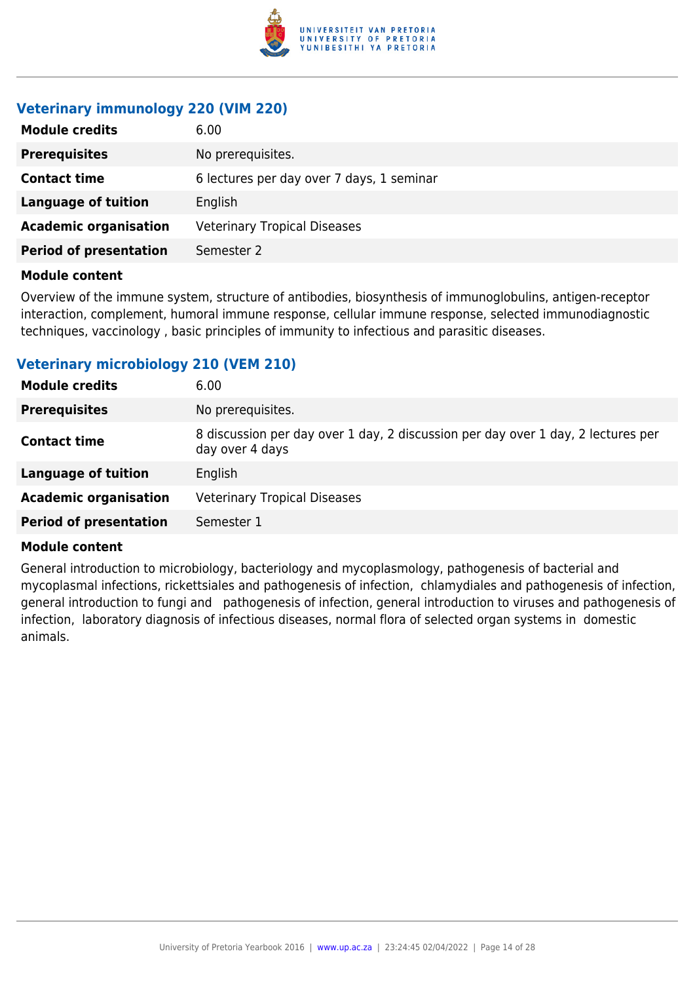

## **Veterinary immunology 220 (VIM 220)**

| <b>Module credits</b>         | 6.00                                      |
|-------------------------------|-------------------------------------------|
| <b>Prerequisites</b>          | No prerequisites.                         |
| <b>Contact time</b>           | 6 lectures per day over 7 days, 1 seminar |
| <b>Language of tuition</b>    | English                                   |
| <b>Academic organisation</b>  | <b>Veterinary Tropical Diseases</b>       |
| <b>Period of presentation</b> | Semester 2                                |

#### **Module content**

Overview of the immune system, structure of antibodies, biosynthesis of immunoglobulins, antigen-receptor interaction, complement, humoral immune response, cellular immune response, selected immunodiagnostic techniques, vaccinology , basic principles of immunity to infectious and parasitic diseases.

## **Veterinary microbiology 210 (VEM 210)**

| <b>Module credits</b>         | 6.00                                                                                                |
|-------------------------------|-----------------------------------------------------------------------------------------------------|
| <b>Prerequisites</b>          | No prerequisites.                                                                                   |
| <b>Contact time</b>           | 8 discussion per day over 1 day, 2 discussion per day over 1 day, 2 lectures per<br>day over 4 days |
| Language of tuition           | English                                                                                             |
| <b>Academic organisation</b>  | <b>Veterinary Tropical Diseases</b>                                                                 |
| <b>Period of presentation</b> | Semester 1                                                                                          |

#### **Module content**

General introduction to microbiology, bacteriology and mycoplasmology, pathogenesis of bacterial and mycoplasmal infections, rickettsiales and pathogenesis of infection, chlamydiales and pathogenesis of infection, general introduction to fungi and pathogenesis of infection, general introduction to viruses and pathogenesis of infection, laboratory diagnosis of infectious diseases, normal flora of selected organ systems in domestic animals.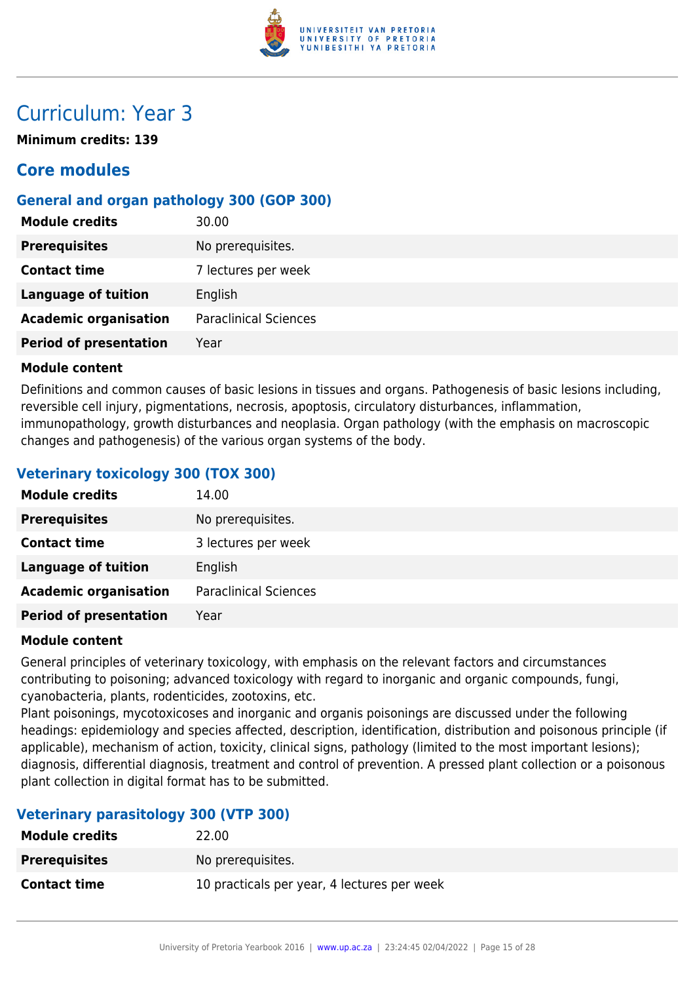

## Curriculum: Year 3

**Minimum credits: 139**

## **Core modules**

## **General and organ pathology 300 (GOP 300)**

| <b>Module credits</b>         | 30.00                        |
|-------------------------------|------------------------------|
| <b>Prerequisites</b>          | No prerequisites.            |
| <b>Contact time</b>           | 7 lectures per week          |
| <b>Language of tuition</b>    | English                      |
| <b>Academic organisation</b>  | <b>Paraclinical Sciences</b> |
| <b>Period of presentation</b> | Year                         |
|                               |                              |

#### **Module content**

Definitions and common causes of basic lesions in tissues and organs. Pathogenesis of basic lesions including, reversible cell injury, pigmentations, necrosis, apoptosis, circulatory disturbances, inflammation, immunopathology, growth disturbances and neoplasia. Organ pathology (with the emphasis on macroscopic changes and pathogenesis) of the various organ systems of the body.

## **Veterinary toxicology 300 (TOX 300)**

| <b>Module credits</b>         | 14.00                        |
|-------------------------------|------------------------------|
| <b>Prerequisites</b>          | No prerequisites.            |
| <b>Contact time</b>           | 3 lectures per week          |
| <b>Language of tuition</b>    | English                      |
| <b>Academic organisation</b>  | <b>Paraclinical Sciences</b> |
| <b>Period of presentation</b> | Year                         |

#### **Module content**

General principles of veterinary toxicology, with emphasis on the relevant factors and circumstances contributing to poisoning; advanced toxicology with regard to inorganic and organic compounds, fungi, cyanobacteria, plants, rodenticides, zootoxins, etc.

Plant poisonings, mycotoxicoses and inorganic and organis poisonings are discussed under the following headings: epidemiology and species affected, description, identification, distribution and poisonous principle (if applicable), mechanism of action, toxicity, clinical signs, pathology (limited to the most important lesions); diagnosis, differential diagnosis, treatment and control of prevention. A pressed plant collection or a poisonous plant collection in digital format has to be submitted.

## **Veterinary parasitology 300 (VTP 300)**

| <b>Module credits</b> | 22.00                                       |
|-----------------------|---------------------------------------------|
| <b>Prerequisites</b>  | No prerequisites.                           |
| <b>Contact time</b>   | 10 practicals per year, 4 lectures per week |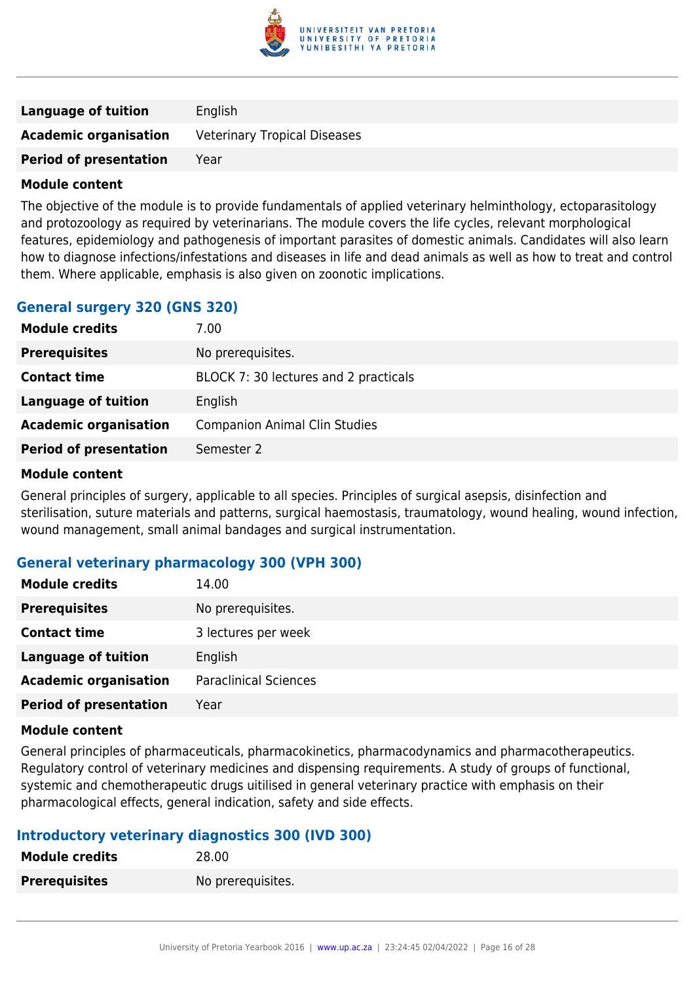

| Language of tuition           | English                             |
|-------------------------------|-------------------------------------|
| <b>Academic organisation</b>  | <b>Veterinary Tropical Diseases</b> |
| <b>Period of presentation</b> | Year                                |

The objective of the module is to provide fundamentals of applied veterinary helminthology, ectoparasitology and protozoology as required by veterinarians. The module covers the life cycles, relevant morphological features, epidemiology and pathogenesis of important parasites of domestic animals. Candidates will also learn how to diagnose infections/infestations and diseases in life and dead animals as well as how to treat and control them. Where applicable, emphasis is also given on zoonotic implications.

#### **General surgery 320 (GNS 320)**

| <b>Module credits</b>         | 7.00                                  |
|-------------------------------|---------------------------------------|
| <b>Prerequisites</b>          | No prerequisites.                     |
| <b>Contact time</b>           | BLOCK 7: 30 lectures and 2 practicals |
| <b>Language of tuition</b>    | English                               |
| <b>Academic organisation</b>  | <b>Companion Animal Clin Studies</b>  |
| <b>Period of presentation</b> | Semester 2                            |
|                               |                                       |

#### **Module content**

General principles of surgery, applicable to all species. Principles of surgical asepsis, disinfection and sterilisation, suture materials and patterns, surgical haemostasis, traumatology, wound healing, wound infection, wound management, small animal bandages and surgical instrumentation.

## **General veterinary pharmacology 300 (VPH 300)**

| <b>Module credits</b>         | 14.00                        |
|-------------------------------|------------------------------|
| <b>Prerequisites</b>          | No prerequisites.            |
| <b>Contact time</b>           | 3 lectures per week          |
| <b>Language of tuition</b>    | English                      |
| <b>Academic organisation</b>  | <b>Paraclinical Sciences</b> |
| <b>Period of presentation</b> | Year                         |

#### **Module content**

General principles of pharmaceuticals, pharmacokinetics, pharmacodynamics and pharmacotherapeutics. Regulatory control of veterinary medicines and dispensing requirements. A study of groups of functional, systemic and chemotherapeutic drugs uitilised in general veterinary practice with emphasis on their pharmacological effects, general indication, safety and side effects.

## **Introductory veterinary diagnostics 300 (IVD 300)**

| <b>Module credits</b> | 28.00             |
|-----------------------|-------------------|
| <b>Prerequisites</b>  | No prerequisites. |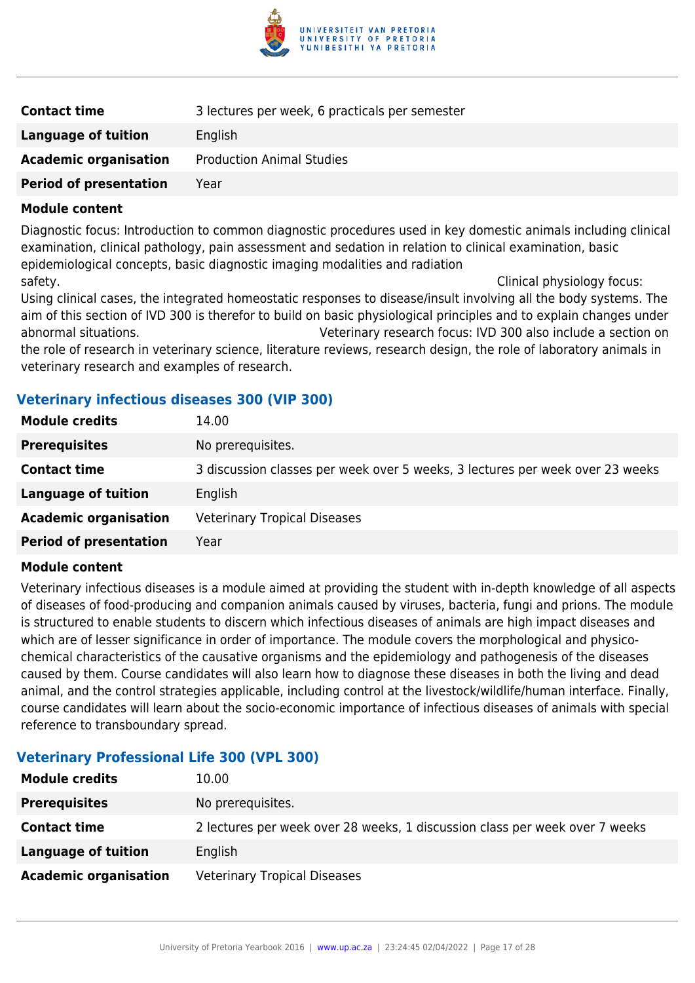

| <b>Contact time</b>           | 3 lectures per week, 6 practicals per semester |
|-------------------------------|------------------------------------------------|
| <b>Language of tuition</b>    | English                                        |
| <b>Academic organisation</b>  | <b>Production Animal Studies</b>               |
| <b>Period of presentation</b> | Year                                           |
|                               |                                                |

Diagnostic focus: Introduction to common diagnostic procedures used in key domestic animals including clinical examination, clinical pathology, pain assessment and sedation in relation to clinical examination, basic epidemiological concepts, basic diagnostic imaging modalities and radiation safety. Clinical physiology focus:

Using clinical cases, the integrated homeostatic responses to disease/insult involving all the body systems. The aim of this section of IVD 300 is therefor to build on basic physiological principles and to explain changes under abnormal situations. Veterinary research focus: IVD 300 also include a section on

the role of research in veterinary science, literature reviews, research design, the role of laboratory animals in veterinary research and examples of research.

#### **Veterinary infectious diseases 300 (VIP 300)**

| <b>Module credits</b>         | 14.00                                                                         |
|-------------------------------|-------------------------------------------------------------------------------|
| <b>Prerequisites</b>          | No prerequisites.                                                             |
| <b>Contact time</b>           | 3 discussion classes per week over 5 weeks, 3 lectures per week over 23 weeks |
| <b>Language of tuition</b>    | English                                                                       |
| <b>Academic organisation</b>  | <b>Veterinary Tropical Diseases</b>                                           |
| <b>Period of presentation</b> | Year                                                                          |

#### **Module content**

Veterinary infectious diseases is a module aimed at providing the student with in-depth knowledge of all aspects of diseases of food-producing and companion animals caused by viruses, bacteria, fungi and prions. The module is structured to enable students to discern which infectious diseases of animals are high impact diseases and which are of lesser significance in order of importance. The module covers the morphological and physicochemical characteristics of the causative organisms and the epidemiology and pathogenesis of the diseases caused by them. Course candidates will also learn how to diagnose these diseases in both the living and dead animal, and the control strategies applicable, including control at the livestock/wildlife/human interface. Finally, course candidates will learn about the socio-economic importance of infectious diseases of animals with special reference to transboundary spread.

## **Veterinary Professional Life 300 (VPL 300)**

| <b>Module credits</b>        | 10.00                                                                       |
|------------------------------|-----------------------------------------------------------------------------|
| <b>Prerequisites</b>         | No prerequisites.                                                           |
| <b>Contact time</b>          | 2 lectures per week over 28 weeks, 1 discussion class per week over 7 weeks |
| Language of tuition          | English                                                                     |
| <b>Academic organisation</b> | <b>Veterinary Tropical Diseases</b>                                         |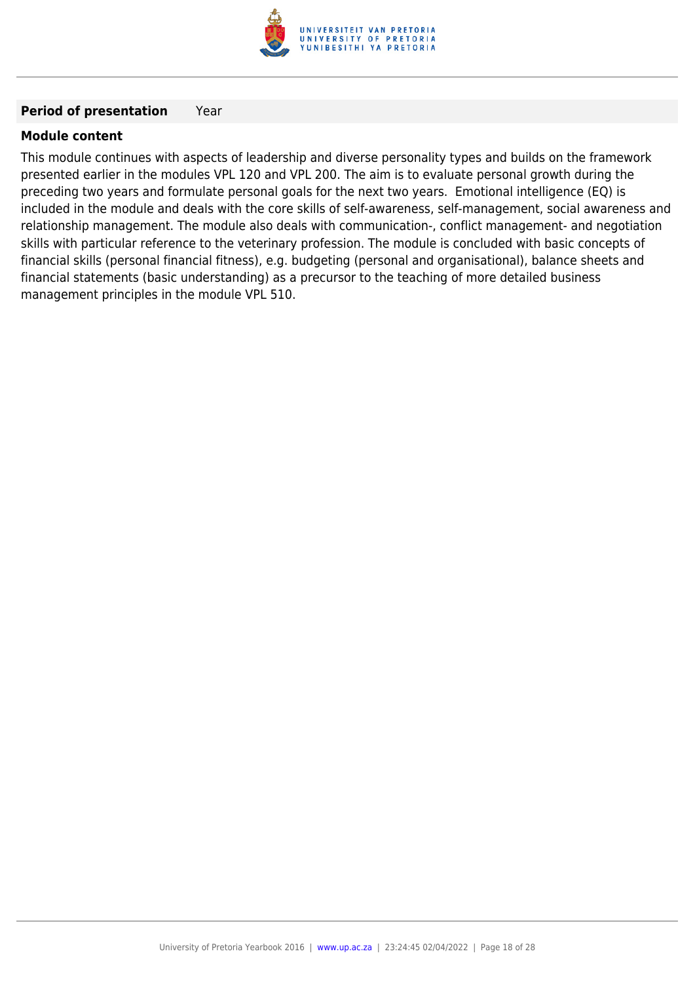

#### **Period of presentation** Year

#### **Module content**

This module continues with aspects of leadership and diverse personality types and builds on the framework presented earlier in the modules VPL 120 and VPL 200. The aim is to evaluate personal growth during the preceding two years and formulate personal goals for the next two years. Emotional intelligence (EQ) is included in the module and deals with the core skills of self-awareness, self-management, social awareness and relationship management. The module also deals with communication-, conflict management- and negotiation skills with particular reference to the veterinary profession. The module is concluded with basic concepts of financial skills (personal financial fitness), e.g. budgeting (personal and organisational), balance sheets and financial statements (basic understanding) as a precursor to the teaching of more detailed business management principles in the module VPL 510.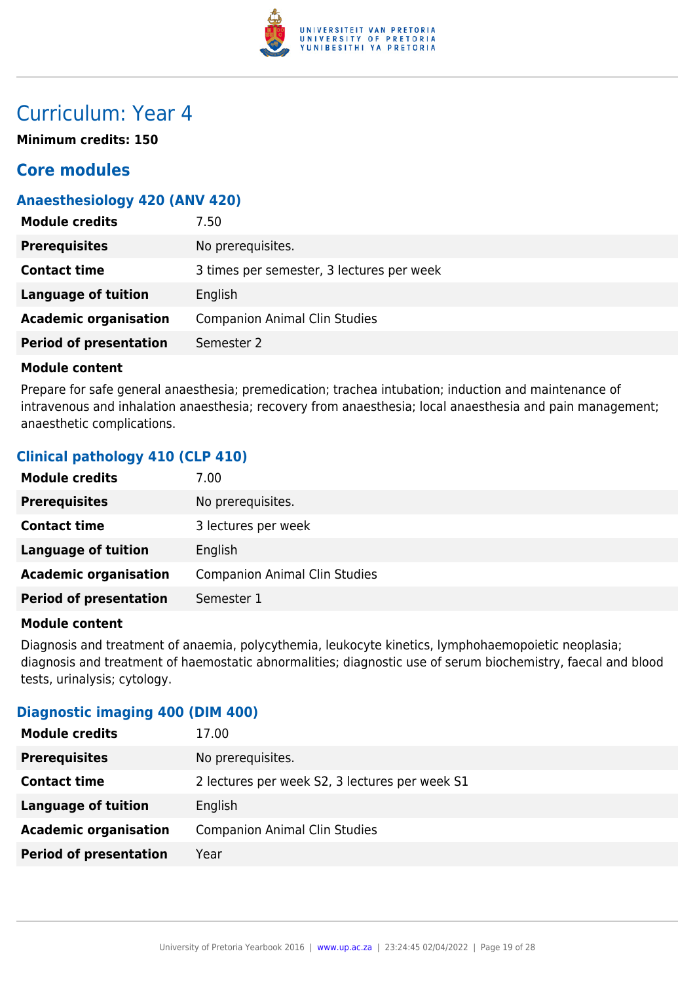

## Curriculum: Year 4

**Minimum credits: 150**

## **Core modules**

#### **Anaesthesiology 420 (ANV 420)**

| <b>Module credits</b>         | 7.50                                      |
|-------------------------------|-------------------------------------------|
| <b>Prerequisites</b>          | No prerequisites.                         |
| <b>Contact time</b>           | 3 times per semester, 3 lectures per week |
| Language of tuition           | English                                   |
| <b>Academic organisation</b>  | <b>Companion Animal Clin Studies</b>      |
| <b>Period of presentation</b> | Semester 2                                |

#### **Module content**

Prepare for safe general anaesthesia; premedication; trachea intubation; induction and maintenance of intravenous and inhalation anaesthesia; recovery from anaesthesia; local anaesthesia and pain management; anaesthetic complications.

## **Clinical pathology 410 (CLP 410)**

| <b>Module credits</b>         | 7.00                                 |
|-------------------------------|--------------------------------------|
| <b>Prerequisites</b>          | No prerequisites.                    |
| <b>Contact time</b>           | 3 lectures per week                  |
| <b>Language of tuition</b>    | English                              |
| <b>Academic organisation</b>  | <b>Companion Animal Clin Studies</b> |
| <b>Period of presentation</b> | Semester 1                           |

#### **Module content**

Diagnosis and treatment of anaemia, polycythemia, leukocyte kinetics, lymphohaemopoietic neoplasia; diagnosis and treatment of haemostatic abnormalities; diagnostic use of serum biochemistry, faecal and blood tests, urinalysis; cytology.

#### **Diagnostic imaging 400 (DIM 400)**

| No prerequisites.<br><b>Prerequisites</b>                             |  |
|-----------------------------------------------------------------------|--|
|                                                                       |  |
| 2 lectures per week S2, 3 lectures per week S1<br><b>Contact time</b> |  |
| Language of tuition<br>English                                        |  |
| <b>Academic organisation</b><br><b>Companion Animal Clin Studies</b>  |  |
| <b>Period of presentation</b><br>Year                                 |  |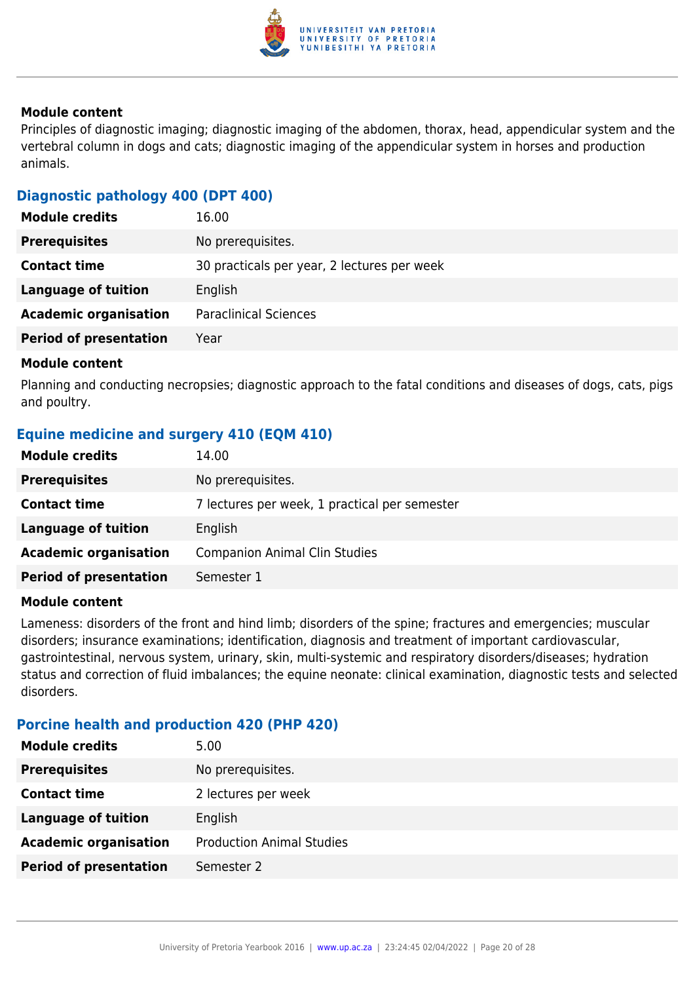

Principles of diagnostic imaging; diagnostic imaging of the abdomen, thorax, head, appendicular system and the vertebral column in dogs and cats; diagnostic imaging of the appendicular system in horses and production animals.

#### **Diagnostic pathology 400 (DPT 400)**

| <b>Module credits</b>         | 16.00                                       |
|-------------------------------|---------------------------------------------|
| <b>Prerequisites</b>          | No prerequisites.                           |
| <b>Contact time</b>           | 30 practicals per year, 2 lectures per week |
| <b>Language of tuition</b>    | English                                     |
| <b>Academic organisation</b>  | <b>Paraclinical Sciences</b>                |
| <b>Period of presentation</b> | Year                                        |
|                               |                                             |

#### **Module content**

Planning and conducting necropsies; diagnostic approach to the fatal conditions and diseases of dogs, cats, pigs and poultry.

## **Equine medicine and surgery 410 (EQM 410)**

| <b>Module credits</b>         | 14.00                                         |
|-------------------------------|-----------------------------------------------|
| <b>Prerequisites</b>          | No prerequisites.                             |
| <b>Contact time</b>           | 7 lectures per week, 1 practical per semester |
| Language of tuition           | English                                       |
| <b>Academic organisation</b>  | <b>Companion Animal Clin Studies</b>          |
| <b>Period of presentation</b> | Semester 1                                    |

#### **Module content**

Lameness: disorders of the front and hind limb; disorders of the spine; fractures and emergencies; muscular disorders; insurance examinations; identification, diagnosis and treatment of important cardiovascular, gastrointestinal, nervous system, urinary, skin, multi-systemic and respiratory disorders/diseases; hydration status and correction of fluid imbalances; the equine neonate: clinical examination, diagnostic tests and selected disorders.

## **Porcine health and production 420 (PHP 420)**

| <b>Module credits</b>         | 5.00                             |
|-------------------------------|----------------------------------|
| <b>Prerequisites</b>          | No prerequisites.                |
| <b>Contact time</b>           | 2 lectures per week              |
| <b>Language of tuition</b>    | English                          |
| <b>Academic organisation</b>  | <b>Production Animal Studies</b> |
| <b>Period of presentation</b> | Semester 2                       |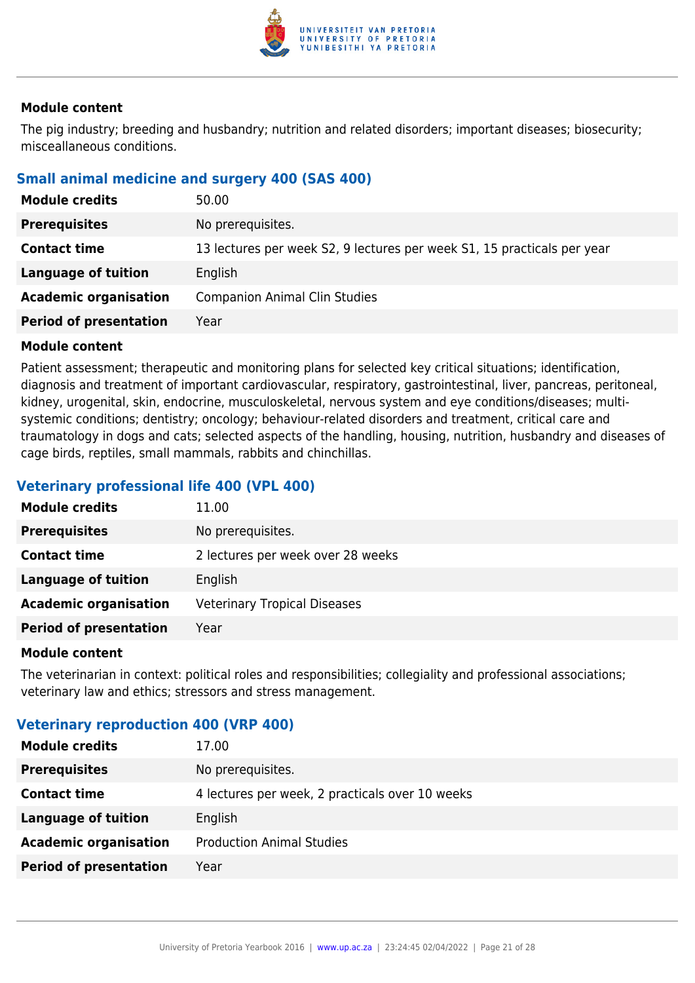

The pig industry; breeding and husbandry; nutrition and related disorders; important diseases; biosecurity; misceallaneous conditions.

## **Small animal medicine and surgery 400 (SAS 400)**

| <b>Module credits</b>         | 50.00                                                                   |
|-------------------------------|-------------------------------------------------------------------------|
| <b>Prerequisites</b>          | No prerequisites.                                                       |
| <b>Contact time</b>           | 13 lectures per week S2, 9 lectures per week S1, 15 practicals per year |
| <b>Language of tuition</b>    | English                                                                 |
| <b>Academic organisation</b>  | <b>Companion Animal Clin Studies</b>                                    |
| <b>Period of presentation</b> | Year                                                                    |

#### **Module content**

Patient assessment; therapeutic and monitoring plans for selected key critical situations; identification, diagnosis and treatment of important cardiovascular, respiratory, gastrointestinal, liver, pancreas, peritoneal, kidney, urogenital, skin, endocrine, musculoskeletal, nervous system and eye conditions/diseases; multisystemic conditions; dentistry; oncology; behaviour-related disorders and treatment, critical care and traumatology in dogs and cats; selected aspects of the handling, housing, nutrition, husbandry and diseases of cage birds, reptiles, small mammals, rabbits and chinchillas.

## **Veterinary professional life 400 (VPL 400)**

| <b>Module credits</b>         | 11.00                               |
|-------------------------------|-------------------------------------|
| <b>Prerequisites</b>          | No prerequisites.                   |
| <b>Contact time</b>           | 2 lectures per week over 28 weeks   |
| Language of tuition           | English                             |
| <b>Academic organisation</b>  | <b>Veterinary Tropical Diseases</b> |
| <b>Period of presentation</b> | Year                                |

#### **Module content**

The veterinarian in context: political roles and responsibilities; collegiality and professional associations; veterinary law and ethics; stressors and stress management.

## **Veterinary reproduction 400 (VRP 400)**

| <b>Module credits</b>         | 17.00                                           |
|-------------------------------|-------------------------------------------------|
| <b>Prerequisites</b>          | No prerequisites.                               |
| <b>Contact time</b>           | 4 lectures per week, 2 practicals over 10 weeks |
| <b>Language of tuition</b>    | English                                         |
| <b>Academic organisation</b>  | <b>Production Animal Studies</b>                |
| <b>Period of presentation</b> | Year                                            |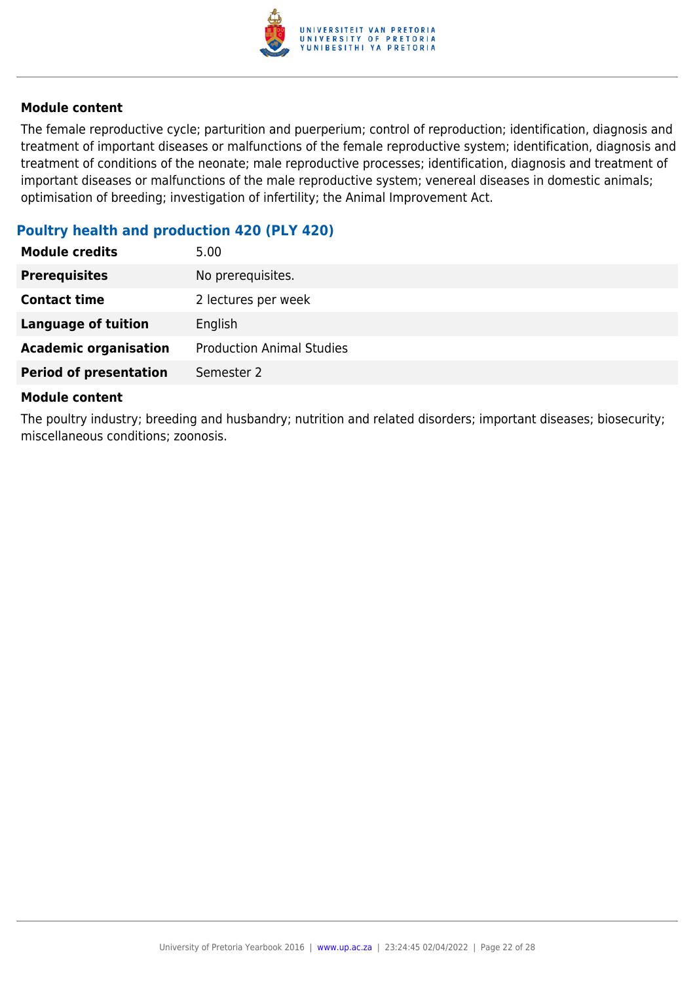

The female reproductive cycle; parturition and puerperium; control of reproduction; identification, diagnosis and treatment of important diseases or malfunctions of the female reproductive system; identification, diagnosis and treatment of conditions of the neonate; male reproductive processes; identification, diagnosis and treatment of important diseases or malfunctions of the male reproductive system; venereal diseases in domestic animals; optimisation of breeding; investigation of infertility; the Animal Improvement Act.

## **Poultry health and production 420 (PLY 420)**

| <b>Module credits</b>         | 5.00                             |
|-------------------------------|----------------------------------|
| <b>Prerequisites</b>          | No prerequisites.                |
| <b>Contact time</b>           | 2 lectures per week              |
| <b>Language of tuition</b>    | English                          |
| <b>Academic organisation</b>  | <b>Production Animal Studies</b> |
| <b>Period of presentation</b> | Semester 2                       |

#### **Module content**

The poultry industry; breeding and husbandry; nutrition and related disorders; important diseases; biosecurity; miscellaneous conditions; zoonosis.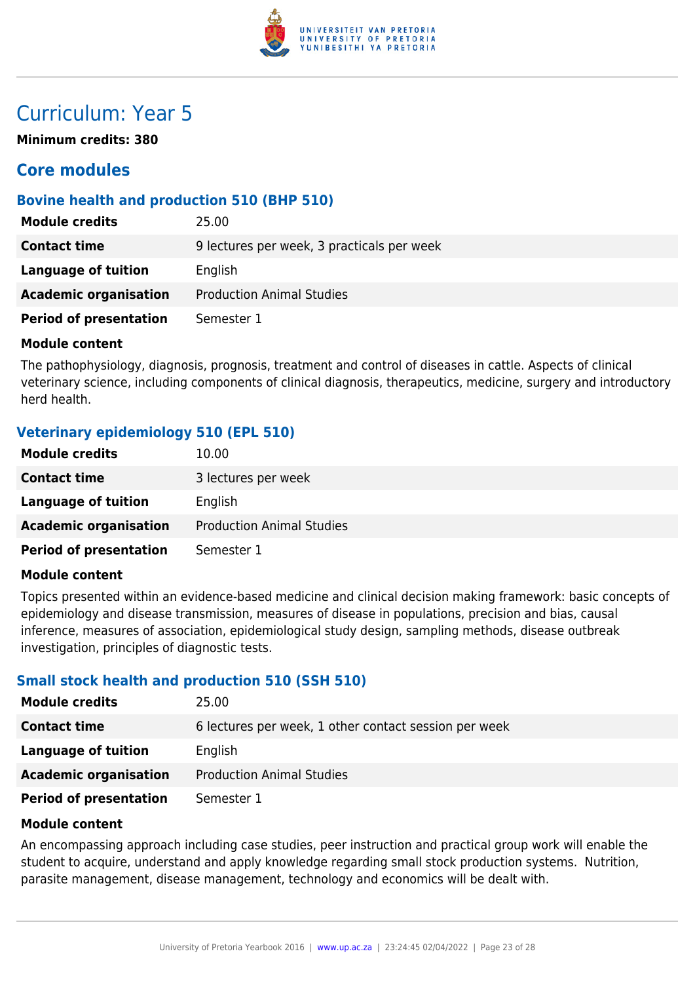

## Curriculum: Year 5

**Minimum credits: 380**

## **Core modules**

### **Bovine health and production 510 (BHP 510)**

| <b>Module credits</b>         | 25.00                                      |
|-------------------------------|--------------------------------------------|
| <b>Contact time</b>           | 9 lectures per week, 3 practicals per week |
| Language of tuition           | English                                    |
| <b>Academic organisation</b>  | <b>Production Animal Studies</b>           |
| <b>Period of presentation</b> | Semester 1                                 |

#### **Module content**

The pathophysiology, diagnosis, prognosis, treatment and control of diseases in cattle. Aspects of clinical veterinary science, including components of clinical diagnosis, therapeutics, medicine, surgery and introductory herd health.

## **Veterinary epidemiology 510 (EPL 510)**

| <b>Module credits</b>         | 10.00                            |
|-------------------------------|----------------------------------|
| <b>Contact time</b>           | 3 lectures per week              |
| Language of tuition           | English                          |
| <b>Academic organisation</b>  | <b>Production Animal Studies</b> |
| <b>Period of presentation</b> | Semester 1                       |

#### **Module content**

Topics presented within an evidence-based medicine and clinical decision making framework: basic concepts of epidemiology and disease transmission, measures of disease in populations, precision and bias, causal inference, measures of association, epidemiological study design, sampling methods, disease outbreak investigation, principles of diagnostic tests.

## **Small stock health and production 510 (SSH 510)**

| <b>Module credits</b>         | 25.00                                                 |
|-------------------------------|-------------------------------------------------------|
| <b>Contact time</b>           | 6 lectures per week, 1 other contact session per week |
| Language of tuition           | English                                               |
| <b>Academic organisation</b>  | <b>Production Animal Studies</b>                      |
| <b>Period of presentation</b> | Semester 1                                            |

#### **Module content**

An encompassing approach including case studies, peer instruction and practical group work will enable the student to acquire, understand and apply knowledge regarding small stock production systems. Nutrition, parasite management, disease management, technology and economics will be dealt with.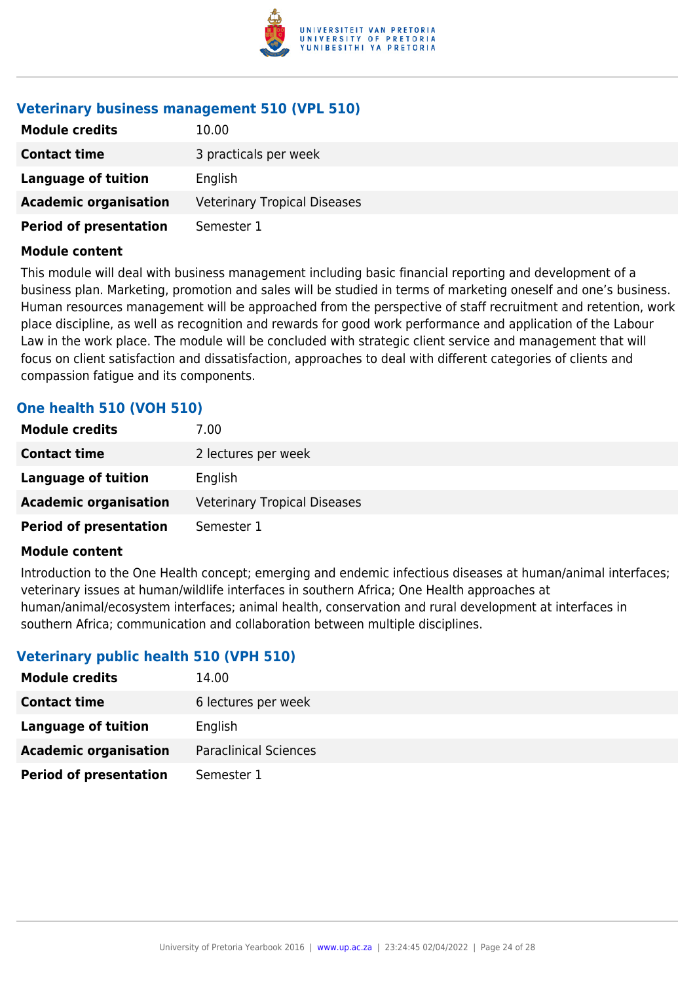

#### **Veterinary business management 510 (VPL 510)**

| <b>Module credits</b>         | 10.00                               |
|-------------------------------|-------------------------------------|
| <b>Contact time</b>           | 3 practicals per week               |
| Language of tuition           | English                             |
| <b>Academic organisation</b>  | <b>Veterinary Tropical Diseases</b> |
| <b>Period of presentation</b> | Semester 1                          |

#### **Module content**

This module will deal with business management including basic financial reporting and development of a business plan. Marketing, promotion and sales will be studied in terms of marketing oneself and one's business. Human resources management will be approached from the perspective of staff recruitment and retention, work place discipline, as well as recognition and rewards for good work performance and application of the Labour Law in the work place. The module will be concluded with strategic client service and management that will focus on client satisfaction and dissatisfaction, approaches to deal with different categories of clients and compassion fatigue and its components.

#### **One health 510 (VOH 510)**

| <b>Module credits</b>         | 7.00                                |
|-------------------------------|-------------------------------------|
| <b>Contact time</b>           | 2 lectures per week                 |
| Language of tuition           | English                             |
| <b>Academic organisation</b>  | <b>Veterinary Tropical Diseases</b> |
| <b>Period of presentation</b> | Semester 1                          |

#### **Module content**

Introduction to the One Health concept; emerging and endemic infectious diseases at human/animal interfaces; veterinary issues at human/wildlife interfaces in southern Africa; One Health approaches at human/animal/ecosystem interfaces; animal health, conservation and rural development at interfaces in southern Africa; communication and collaboration between multiple disciplines.

## **Veterinary public health 510 (VPH 510)**

| <b>Module credits</b>         | 14.00                        |
|-------------------------------|------------------------------|
| <b>Contact time</b>           | 6 lectures per week          |
| Language of tuition           | English                      |
| <b>Academic organisation</b>  | <b>Paraclinical Sciences</b> |
| <b>Period of presentation</b> | Semester 1                   |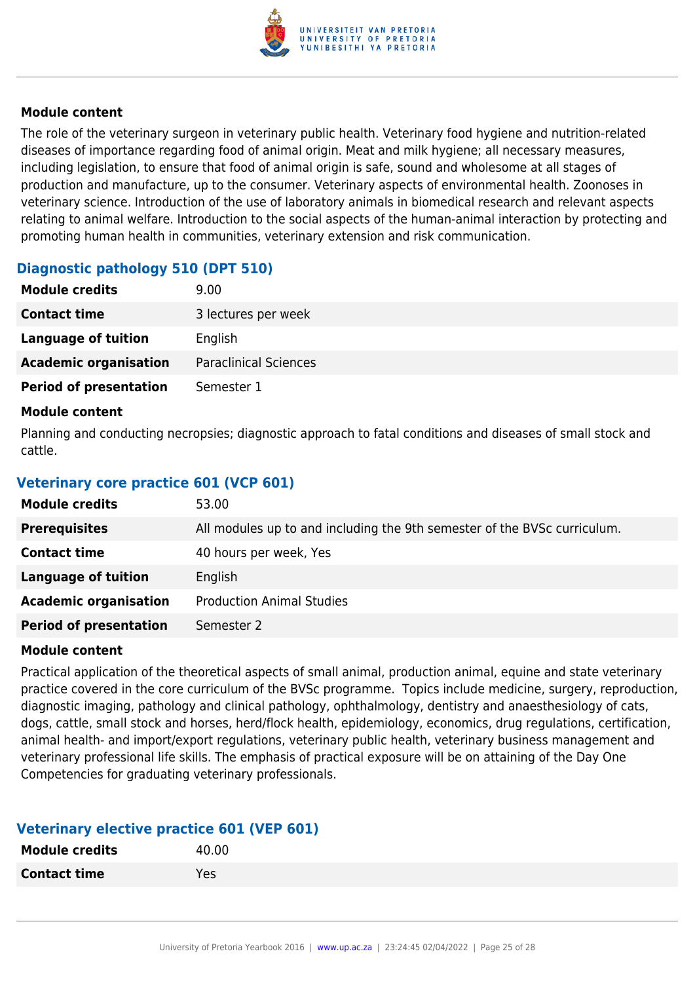

The role of the veterinary surgeon in veterinary public health. Veterinary food hygiene and nutrition-related diseases of importance regarding food of animal origin. Meat and milk hygiene; all necessary measures, including legislation, to ensure that food of animal origin is safe, sound and wholesome at all stages of production and manufacture, up to the consumer. Veterinary aspects of environmental health. Zoonoses in veterinary science. Introduction of the use of laboratory animals in biomedical research and relevant aspects relating to animal welfare. Introduction to the social aspects of the human-animal interaction by protecting and promoting human health in communities, veterinary extension and risk communication.

## **Diagnostic pathology 510 (DPT 510)**

| <b>Module credits</b>         | 9.00                         |
|-------------------------------|------------------------------|
| <b>Contact time</b>           | 3 lectures per week          |
| Language of tuition           | English                      |
| <b>Academic organisation</b>  | <b>Paraclinical Sciences</b> |
| <b>Period of presentation</b> | Semester 1                   |

#### **Module content**

Planning and conducting necropsies; diagnostic approach to fatal conditions and diseases of small stock and cattle.

## **Veterinary core practice 601 (VCP 601)**

| <b>Module credits</b>         | 53.00                                                                    |
|-------------------------------|--------------------------------------------------------------------------|
| <b>Prerequisites</b>          | All modules up to and including the 9th semester of the BVSc curriculum. |
| <b>Contact time</b>           | 40 hours per week, Yes                                                   |
| Language of tuition           | English                                                                  |
| <b>Academic organisation</b>  | <b>Production Animal Studies</b>                                         |
| <b>Period of presentation</b> | Semester 2                                                               |

#### **Module content**

Practical application of the theoretical aspects of small animal, production animal, equine and state veterinary practice covered in the core curriculum of the BVSc programme. Topics include medicine, surgery, reproduction, diagnostic imaging, pathology and clinical pathology, ophthalmology, dentistry and anaesthesiology of cats, dogs, cattle, small stock and horses, herd/flock health, epidemiology, economics, drug regulations, certification, animal health- and import/export regulations, veterinary public health, veterinary business management and veterinary professional life skills. The emphasis of practical exposure will be on attaining of the Day One Competencies for graduating veterinary professionals.

## **Veterinary elective practice 601 (VEP 601)**

| <b>Module credits</b> | 40.00 |
|-----------------------|-------|
| <b>Contact time</b>   | Yes   |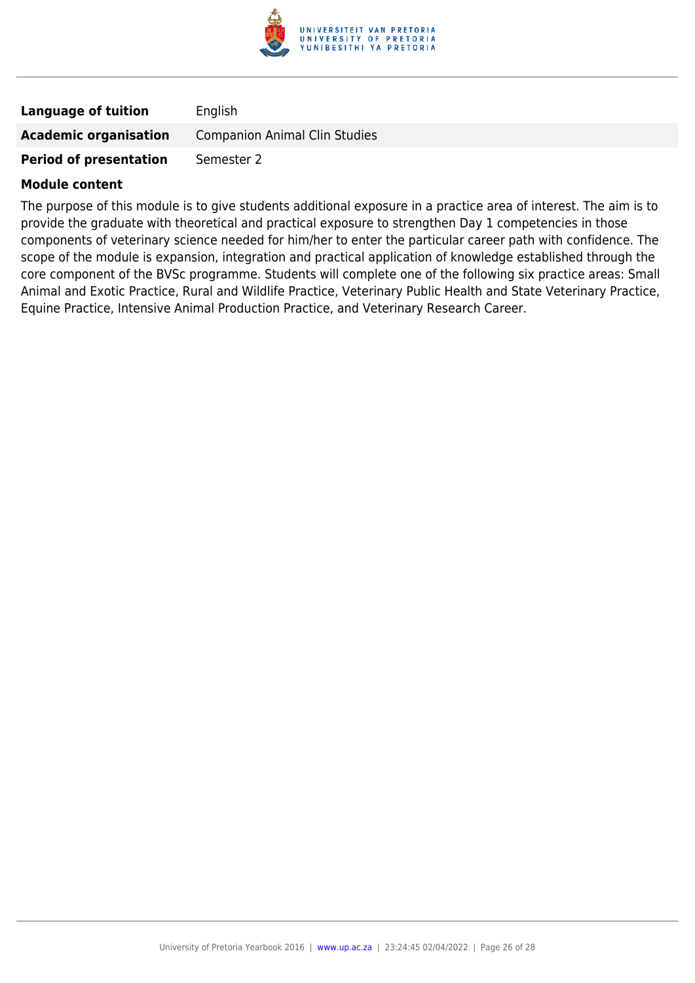

| <b>Language of tuition</b>    | English                              |
|-------------------------------|--------------------------------------|
| <b>Academic organisation</b>  | <b>Companion Animal Clin Studies</b> |
| <b>Period of presentation</b> | Semester 2                           |

The purpose of this module is to give students additional exposure in a practice area of interest. The aim is to provide the graduate with theoretical and practical exposure to strengthen Day 1 competencies in those components of veterinary science needed for him/her to enter the particular career path with confidence. The scope of the module is expansion, integration and practical application of knowledge established through the core component of the BVSc programme. Students will complete one of the following six practice areas: Small Animal and Exotic Practice, Rural and Wildlife Practice, Veterinary Public Health and State Veterinary Practice, Equine Practice, Intensive Animal Production Practice, and Veterinary Research Career.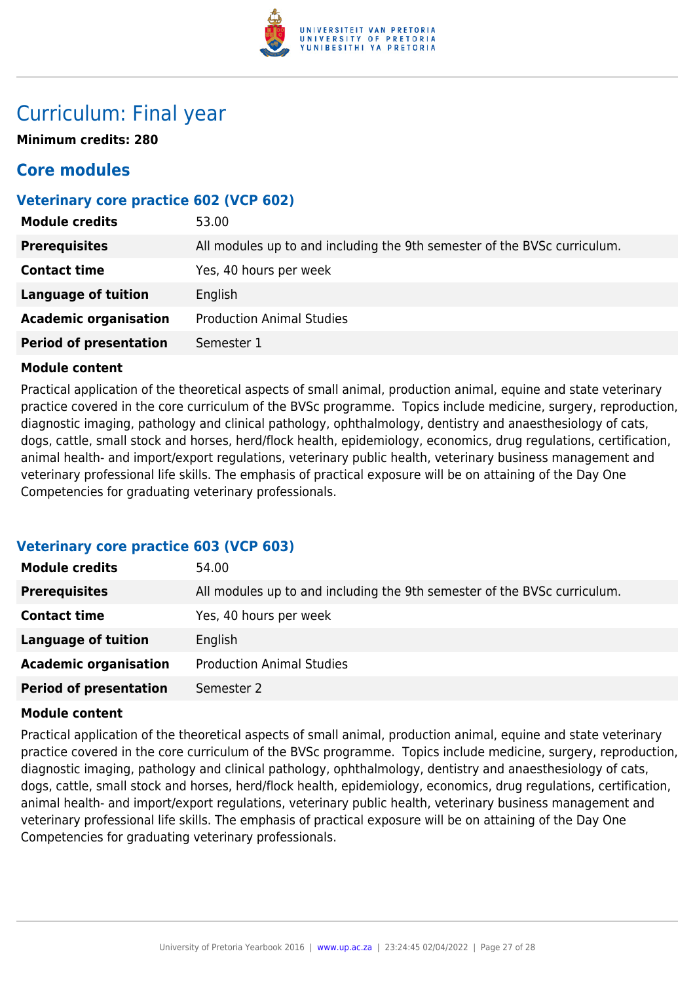

## Curriculum: Final year

**Minimum credits: 280**

## **Core modules**

### **Veterinary core practice 602 (VCP 602)**

| <b>Module credits</b>         | 53.00                                                                    |
|-------------------------------|--------------------------------------------------------------------------|
| <b>Prerequisites</b>          | All modules up to and including the 9th semester of the BVSc curriculum. |
| <b>Contact time</b>           | Yes, 40 hours per week                                                   |
| Language of tuition           | English                                                                  |
| <b>Academic organisation</b>  | <b>Production Animal Studies</b>                                         |
| <b>Period of presentation</b> | Semester 1                                                               |

#### **Module content**

Practical application of the theoretical aspects of small animal, production animal, equine and state veterinary practice covered in the core curriculum of the BVSc programme. Topics include medicine, surgery, reproduction, diagnostic imaging, pathology and clinical pathology, ophthalmology, dentistry and anaesthesiology of cats, dogs, cattle, small stock and horses, herd/flock health, epidemiology, economics, drug regulations, certification, animal health- and import/export regulations, veterinary public health, veterinary business management and veterinary professional life skills. The emphasis of practical exposure will be on attaining of the Day One Competencies for graduating veterinary professionals.

## **Veterinary core practice 603 (VCP 603)**

| <b>Module credits</b>         | 54.00                                                                    |
|-------------------------------|--------------------------------------------------------------------------|
| <b>Prerequisites</b>          | All modules up to and including the 9th semester of the BVSc curriculum. |
| <b>Contact time</b>           | Yes, 40 hours per week                                                   |
| <b>Language of tuition</b>    | English                                                                  |
| <b>Academic organisation</b>  | <b>Production Animal Studies</b>                                         |
| <b>Period of presentation</b> | Semester 2                                                               |

#### **Module content**

Practical application of the theoretical aspects of small animal, production animal, equine and state veterinary practice covered in the core curriculum of the BVSc programme. Topics include medicine, surgery, reproduction, diagnostic imaging, pathology and clinical pathology, ophthalmology, dentistry and anaesthesiology of cats, dogs, cattle, small stock and horses, herd/flock health, epidemiology, economics, drug regulations, certification, animal health- and import/export regulations, veterinary public health, veterinary business management and veterinary professional life skills. The emphasis of practical exposure will be on attaining of the Day One Competencies for graduating veterinary professionals.